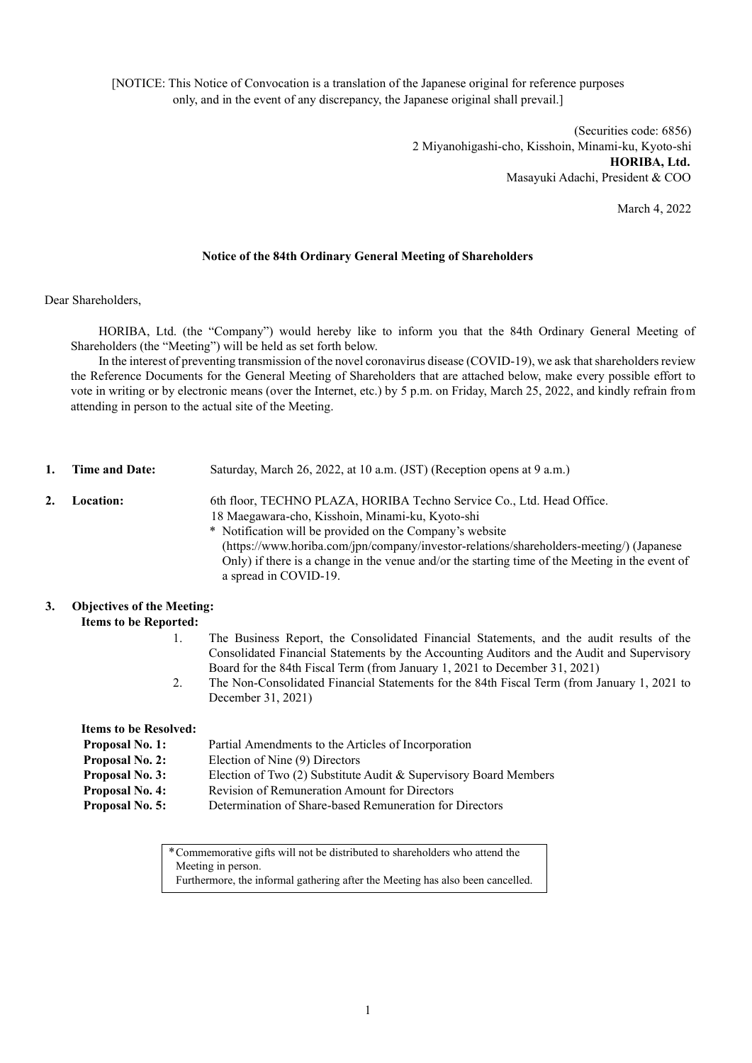[NOTICE: This Notice of Convocation is a translation of the Japanese original for reference purposes only, and in the event of any discrepancy, the Japanese original shall prevail.]

> (Securities code: 6856) 2 Miyanohigashi-cho, Kisshoin, Minami-ku, Kyoto-shi **HORIBA, Ltd.** Masayuki Adachi, President & COO

> > March 4, 2022

### **Notice of the 84th Ordinary General Meeting of Shareholders**

Dear Shareholders,

HORIBA, Ltd. (the "Company") would hereby like to inform you that the 84th Ordinary General Meeting of Shareholders (the "Meeting") will be held as set forth below.

In the interest of preventing transmission of the novel coronavirus disease (COVID-19), we ask that shareholders review the Reference Documents for the General Meeting of Shareholders that are attached below, make every possible effort to vote in writing or by electronic means (over the Internet, etc.) by 5 p.m. on Friday, March 25, 2022, and kindly refrain from attending in person to the actual site of the Meeting.

- **1. Time and Date:** Saturday, March 26, 2022, at 10 a.m. (JST) (Reception opens at 9 a.m.)
- **2. Location:** 6th floor, TECHNO PLAZA, HORIBA Techno Service Co., Ltd. Head Office. 18 Maegawara-cho, Kisshoin, Minami-ku, Kyoto-shi
	- \* Notification will be provided on the Company's website (https://www.horiba.com/jpn/company/investor-relations/shareholders-meeting/) (Japanese Only) if there is a change in the venue and/or the starting time of the Meeting in the event of a spread in COVID-19.

# **3. Objectives of the Meeting:**

**Items to be Reported:**

- 1. The Business Report, the Consolidated Financial Statements, and the audit results of the Consolidated Financial Statements by the Accounting Auditors and the Audit and Supervisory Board for the 84th Fiscal Term (from January 1, 2021 to December 31, 2021)
- 2. The Non-Consolidated Financial Statements for the 84th Fiscal Term (from January 1, 2021 to December 31, 2021)

**Items to be Resolved:**

| <b>Proposal No. 1:</b> | Partial Amendments to the Articles of Incorporation              |
|------------------------|------------------------------------------------------------------|
| <b>Proposal No. 2:</b> | Election of Nine (9) Directors                                   |
| <b>Proposal No. 3:</b> | Election of Two (2) Substitute Audit & Supervisory Board Members |
| <b>Proposal No. 4:</b> | Revision of Remuneration Amount for Directors                    |
| <b>Proposal No. 5:</b> | Determination of Share-based Remuneration for Directors          |

\*Commemorative gifts will not be distributed to shareholders who attend the Meeting in person. Furthermore, the informal gathering after the Meeting has also been cancelled.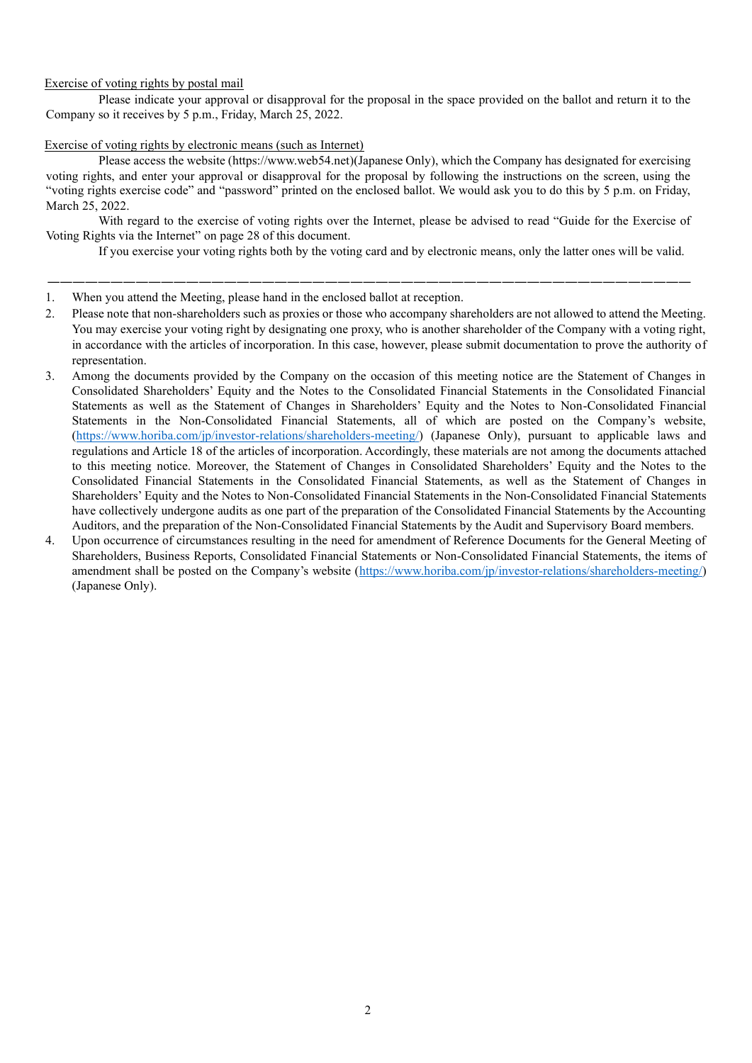## Exercise of voting rights by postal mail

Please indicate your approval or disapproval for the proposal in the space provided on the ballot and return it to the Company so it receives by 5 p.m., Friday, March 25, 2022.

### Exercise of voting rights by electronic means (such as Internet)

Please access the website (https://www.web54.net)(Japanese Only), which the Company has designated for exercising voting rights, and enter your approval or disapproval for the proposal by following the instructions on the screen, using the "voting rights exercise code" and "password" printed on the enclosed ballot. We would ask you to do this by 5 p.m. on Friday, March 25, 2022.

With regard to the exercise of voting rights over the Internet, please be advised to read "Guide for the Exercise of Voting Rights via the Internet" on page 28 of this document.

―――――――――――――――――――――――――――――――――――――――――――――――――――

If you exercise your voting rights both by the voting card and by electronic means, only the latter ones will be valid.

- 1. When you attend the Meeting, please hand in the enclosed ballot at reception.
- 2. Please note that non-shareholders such as proxies or those who accompany shareholders are not allowed to attend the Meeting. You may exercise your voting right by designating one proxy, who is another shareholder of the Company with a voting right, in accordance with the articles of incorporation. In this case, however, please submit documentation to prove the authority of representation.
- 3. Among the documents provided by the Company on the occasion of this meeting notice are the Statement of Changes in Consolidated Shareholders' Equity and the Notes to the Consolidated Financial Statements in the Consolidated Financial Statements as well as the Statement of Changes in Shareholders' Equity and the Notes to Non-Consolidated Financial Statements in the Non-Consolidated Financial Statements, all of which are posted on the Company's website, [\(https://www.horiba.com/jp/investor-relations/shareholders-meeting/\)](https://www.horiba.com/jp/investor-relations/shareholders-meeting/) (Japanese Only), pursuant to applicable laws and regulations and Article 18 of the articles of incorporation. Accordingly, these materials are not among the documents attached to this meeting notice. Moreover, the Statement of Changes in Consolidated Shareholders' Equity and the Notes to the Consolidated Financial Statements in the Consolidated Financial Statements, as well as the Statement of Changes in Shareholders' Equity and the Notes to Non-Consolidated Financial Statements in the Non-Consolidated Financial Statements have collectively undergone audits as one part of the preparation of the Consolidated Financial Statements by the Accounting Auditors, and the preparation of the Non-Consolidated Financial Statements by the Audit and Supervisory Board members.
- 4. Upon occurrence of circumstances resulting in the need for amendment of Reference Documents for the General Meeting of Shareholders, Business Reports, Consolidated Financial Statements or Non-Consolidated Financial Statements, the items of amendment shall be posted on the Company's website [\(https://www.horiba.com/jp/investor-relations/shareholders-meeting/\)](https://www.horiba.com/jp/investor-relations/shareholders-meeting/) (Japanese Only).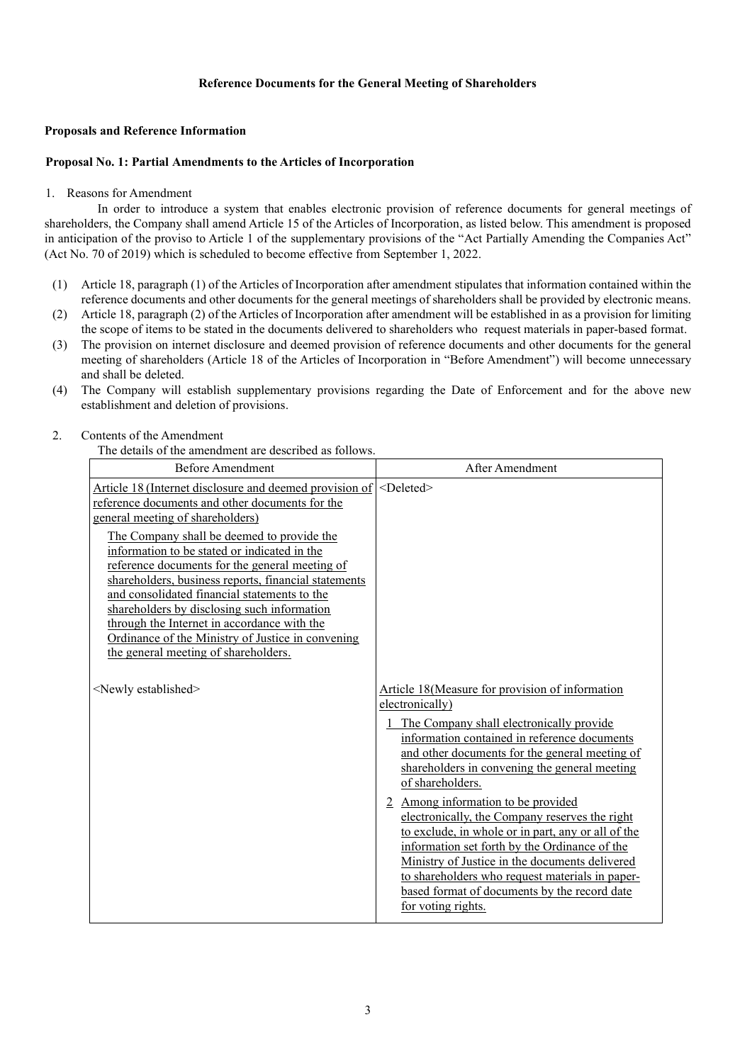## **Reference Documents for the General Meeting of Shareholders**

#### **Proposals and Reference Information**

### **Proposal No. 1: Partial Amendments to the Articles of Incorporation**

#### 1. Reasons for Amendment

In order to introduce a system that enables electronic provision of reference documents for general meetings of shareholders, the Company shall amend Article 15 of the Articles of Incorporation, as listed below. This amendment is proposed in anticipation of the proviso to Article 1 of the supplementary provisions of the "Act Partially Amending the Companies Act" (Act No. 70 of 2019) which is scheduled to become effective from September 1, 2022.

- (1) Article 18, paragraph (1) of the Articles of Incorporation after amendment stipulates that information contained within the reference documents and other documents for the general meetings of shareholders shall be provided by electronic means.
- (2) Article 18, paragraph (2) of the Articles of Incorporation after amendment will be established in as a provision for limiting the scope of items to be stated in the documents delivered to shareholders who request materials in paper-based format.
- (3) The provision on internet disclosure and deemed provision of reference documents and other documents for the general meeting of shareholders (Article 18 of the Articles of Incorporation in "Before Amendment") will become unnecessary and shall be deleted.
- (4) The Company will establish supplementary provisions regarding the Date of Enforcement and for the above new establishment and deletion of provisions.

#### 2. Contents of the Amendment

The details of the amendment are described as follows.

| <b>Before Amendment</b>                                                                                                                                                                                                                                                                                                                                                                                                                                                                                                                                                                           | After Amendment                                                                                                                                                                                                                                                                                                                                                                                                                                                                                                                                                                                                                                                  |
|---------------------------------------------------------------------------------------------------------------------------------------------------------------------------------------------------------------------------------------------------------------------------------------------------------------------------------------------------------------------------------------------------------------------------------------------------------------------------------------------------------------------------------------------------------------------------------------------------|------------------------------------------------------------------------------------------------------------------------------------------------------------------------------------------------------------------------------------------------------------------------------------------------------------------------------------------------------------------------------------------------------------------------------------------------------------------------------------------------------------------------------------------------------------------------------------------------------------------------------------------------------------------|
| Article 18 (Internet disclosure and deemed provision of<br>reference documents and other documents for the<br>general meeting of shareholders)<br>The Company shall be deemed to provide the<br>information to be stated or indicated in the<br>reference documents for the general meeting of<br>shareholders, business reports, financial statements<br>and consolidated financial statements to the<br>shareholders by disclosing such information<br>through the Internet in accordance with the<br>Ordinance of the Ministry of Justice in convening<br>the general meeting of shareholders. | <deleted></deleted>                                                                                                                                                                                                                                                                                                                                                                                                                                                                                                                                                                                                                                              |
| <newly established=""></newly>                                                                                                                                                                                                                                                                                                                                                                                                                                                                                                                                                                    | Article 18 (Measure for provision of information<br>electronically)<br>The Company shall electronically provide<br>information contained in reference documents<br>and other documents for the general meeting of<br>shareholders in convening the general meeting<br>of shareholders.<br>2 Among information to be provided<br>electronically, the Company reserves the right<br>to exclude, in whole or in part, any or all of the<br>information set forth by the Ordinance of the<br>Ministry of Justice in the documents delivered<br>to shareholders who request materials in paper-<br>based format of documents by the record date<br>for voting rights. |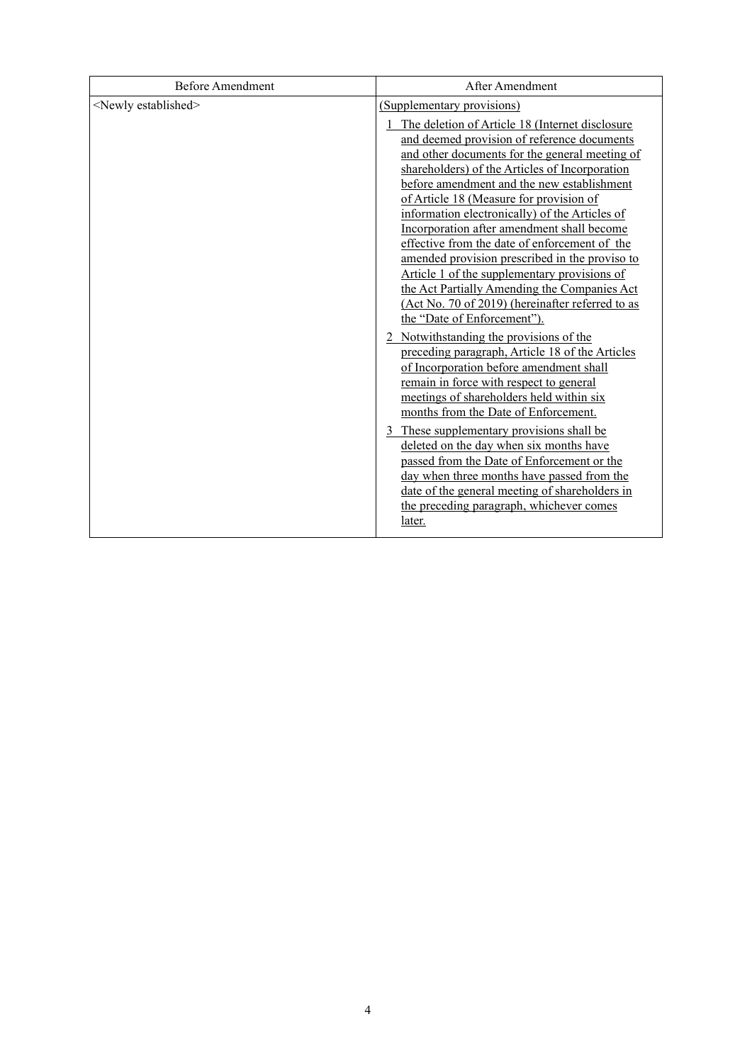| <b>Before Amendment</b>        | After Amendment                                                                                                                                                                                                                                                                                                                                                                                                                                                                                                                                                                                                                                                                                                                                                                                                                                                                                     |
|--------------------------------|-----------------------------------------------------------------------------------------------------------------------------------------------------------------------------------------------------------------------------------------------------------------------------------------------------------------------------------------------------------------------------------------------------------------------------------------------------------------------------------------------------------------------------------------------------------------------------------------------------------------------------------------------------------------------------------------------------------------------------------------------------------------------------------------------------------------------------------------------------------------------------------------------------|
| <newly established=""></newly> | (Supplementary provisions)<br>The deletion of Article 18 (Internet disclosure<br>and deemed provision of reference documents<br>and other documents for the general meeting of<br>shareholders) of the Articles of Incorporation<br>before amendment and the new establishment<br>of Article 18 (Measure for provision of<br>information electronically) of the Articles of<br>Incorporation after amendment shall become<br>effective from the date of enforcement of the<br>amended provision prescribed in the proviso to<br>Article 1 of the supplementary provisions of<br>the Act Partially Amending the Companies Act<br>(Act No. 70 of 2019) (hereinafter referred to as<br>the "Date of Enforcement").<br>2 Notwithstanding the provisions of the<br>preceding paragraph, Article 18 of the Articles<br>of Incorporation before amendment shall<br>remain in force with respect to general |
|                                | meetings of shareholders held within six<br>months from the Date of Enforcement.                                                                                                                                                                                                                                                                                                                                                                                                                                                                                                                                                                                                                                                                                                                                                                                                                    |
|                                | 3 These supplementary provisions shall be<br>deleted on the day when six months have<br>passed from the Date of Enforcement or the<br>day when three months have passed from the<br>date of the general meeting of shareholders in<br>the preceding paragraph, whichever comes<br>later.                                                                                                                                                                                                                                                                                                                                                                                                                                                                                                                                                                                                            |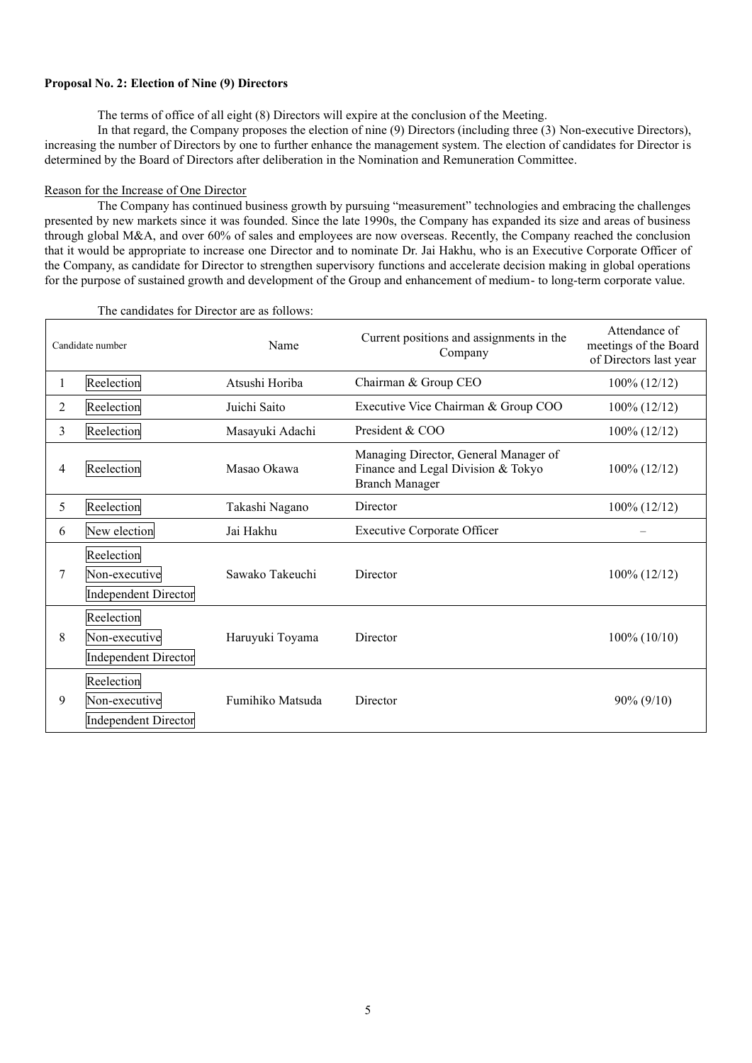#### **Proposal No. 2: Election of Nine (9) Directors**

The terms of office of all eight (8) Directors will expire at the conclusion of the Meeting.

In that regard, the Company proposes the election of nine (9) Directors (including three (3) Non-executive Directors), increasing the number of Directors by one to further enhance the management system. The election of candidates for Director is determined by the Board of Directors after deliberation in the Nomination and Remuneration Committee.

#### Reason for the Increase of One Director

The Company has continued business growth by pursuing "measurement" technologies and embracing the challenges presented by new markets since it was founded. Since the late 1990s, the Company has expanded its size and areas of business through global M&A, and over 60% of sales and employees are now overseas. Recently, the Company reached the conclusion that it would be appropriate to increase one Director and to nominate Dr. Jai Hakhu, who is an Executive Corporate Officer of the Company, as candidate for Director to strengthen supervisory functions and accelerate decision making in global operations for the purpose of sustained growth and development of the Group and enhancement of medium- to long-term corporate value.

|   | Candidate number                                           | Name             | Current positions and assignments in the<br>Company                                                  | Attendance of<br>meetings of the Board<br>of Directors last year |
|---|------------------------------------------------------------|------------------|------------------------------------------------------------------------------------------------------|------------------------------------------------------------------|
|   | Reelection                                                 | Atsushi Horiba   | Chairman & Group CEO                                                                                 | $100\% (12/12)$                                                  |
| 2 | Reelection                                                 | Juichi Saito     | Executive Vice Chairman & Group COO                                                                  | $100\%$ (12/12)                                                  |
| 3 | Reelection                                                 | Masayuki Adachi  | President & COO                                                                                      | $100\% (12/12)$                                                  |
| 4 | Reelection                                                 | Masao Okawa      | Managing Director, General Manager of<br>Finance and Legal Division & Tokyo<br><b>Branch Manager</b> | $100\% (12/12)$                                                  |
| 5 | Reelection                                                 | Takashi Nagano   | Director                                                                                             | $100\%$ (12/12)                                                  |
| 6 | New election                                               | Jai Hakhu        | <b>Executive Corporate Officer</b>                                                                   |                                                                  |
| 7 | Reelection<br>Non-executive<br><b>Independent Director</b> | Sawako Takeuchi  | Director                                                                                             | $100\% (12/12)$                                                  |
| 8 | Reelection<br>Non-executive<br><b>Independent Director</b> | Haruyuki Toyama  | Director                                                                                             | $100\% (10/10)$                                                  |
| 9 | Reelection<br>Non-executive<br><b>Independent Director</b> | Fumihiko Matsuda | Director                                                                                             | $90\% (9/10)$                                                    |

The candidates for Director are as follows: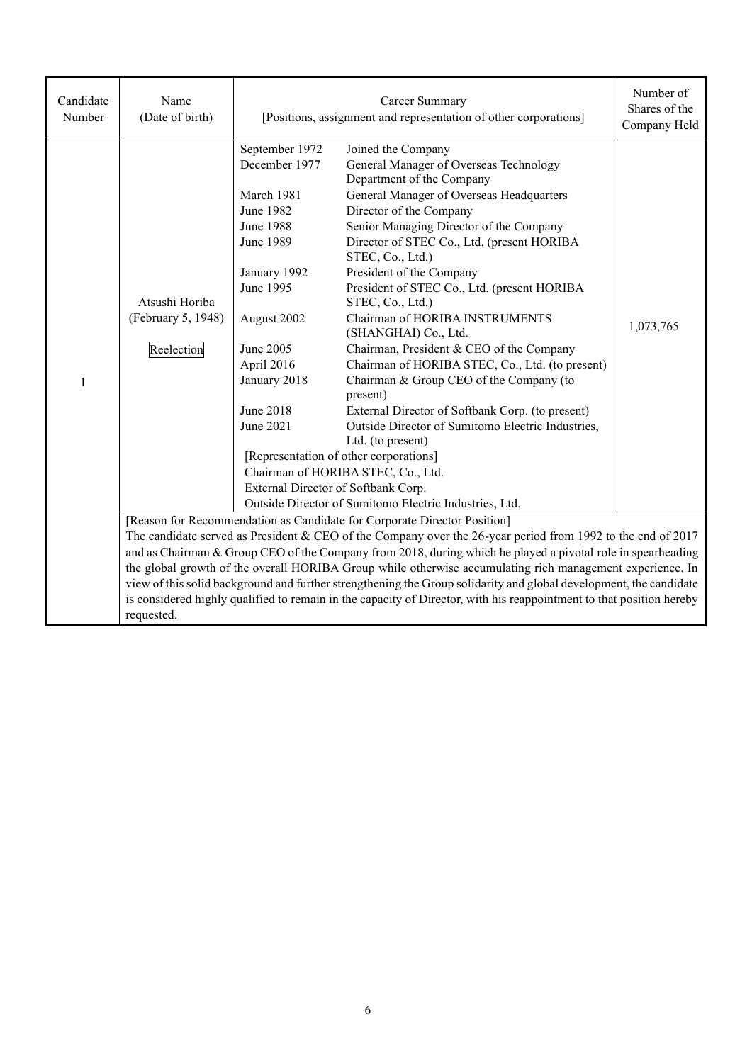| Candidate<br>Number | Name<br>(Date of birth)                                                                                                                                                                                                                                                                                                                                               | Career Summary<br>[Positions, assignment and representation of other corporations]                                                                                                                                                                         |                                                                                                                                                                                                                                                                                                                                                                                                                                                                                                                                                                                                                                                                                                                                                                                                            | Number of<br>Shares of the<br>Company Held |  |  |
|---------------------|-----------------------------------------------------------------------------------------------------------------------------------------------------------------------------------------------------------------------------------------------------------------------------------------------------------------------------------------------------------------------|------------------------------------------------------------------------------------------------------------------------------------------------------------------------------------------------------------------------------------------------------------|------------------------------------------------------------------------------------------------------------------------------------------------------------------------------------------------------------------------------------------------------------------------------------------------------------------------------------------------------------------------------------------------------------------------------------------------------------------------------------------------------------------------------------------------------------------------------------------------------------------------------------------------------------------------------------------------------------------------------------------------------------------------------------------------------------|--------------------------------------------|--|--|
| $\mathbf{1}$        | Atsushi Horiba<br>(February 5, 1948)<br>Reelection                                                                                                                                                                                                                                                                                                                    | September 1972<br>December 1977<br>March 1981<br>June 1982<br><b>June 1988</b><br><b>June 1989</b><br>January 1992<br>June 1995<br>August 2002<br>June 2005<br>April 2016<br>January 2018<br>June 2018<br>June 2021<br>External Director of Softbank Corp. | Joined the Company<br>General Manager of Overseas Technology<br>Department of the Company<br>General Manager of Overseas Headquarters<br>Director of the Company<br>Senior Managing Director of the Company<br>Director of STEC Co., Ltd. (present HORIBA<br>STEC, Co., Ltd.)<br>President of the Company<br>President of STEC Co., Ltd. (present HORIBA<br>STEC, Co., Ltd.)<br>Chairman of HORIBA INSTRUMENTS<br>(SHANGHAI) Co., Ltd.<br>Chairman, President & CEO of the Company<br>Chairman of HORIBA STEC, Co., Ltd. (to present)<br>Chairman & Group CEO of the Company (to<br>present)<br>External Director of Softbank Corp. (to present)<br>Outside Director of Sumitomo Electric Industries,<br>Ltd. (to present)<br>[Representation of other corporations]<br>Chairman of HORIBA STEC, Co., Ltd. | 1,073,765                                  |  |  |
|                     |                                                                                                                                                                                                                                                                                                                                                                       |                                                                                                                                                                                                                                                            | Outside Director of Sumitomo Electric Industries, Ltd.<br>[Reason for Recommendation as Candidate for Corporate Director Position]                                                                                                                                                                                                                                                                                                                                                                                                                                                                                                                                                                                                                                                                         |                                            |  |  |
|                     |                                                                                                                                                                                                                                                                                                                                                                       | The candidate served as President & CEO of the Company over the 26-year period from 1992 to the end of $2017$                                                                                                                                              |                                                                                                                                                                                                                                                                                                                                                                                                                                                                                                                                                                                                                                                                                                                                                                                                            |                                            |  |  |
|                     |                                                                                                                                                                                                                                                                                                                                                                       | and as Chairman & Group CEO of the Company from 2018, during which he played a pivotal role in spearheading                                                                                                                                                |                                                                                                                                                                                                                                                                                                                                                                                                                                                                                                                                                                                                                                                                                                                                                                                                            |                                            |  |  |
|                     | the global growth of the overall HORIBA Group while otherwise accumulating rich management experience. In<br>view of this solid background and further strengthening the Group solidarity and global development, the candidate<br>is considered highly qualified to remain in the capacity of Director, with his reappointment to that position hereby<br>requested. |                                                                                                                                                                                                                                                            |                                                                                                                                                                                                                                                                                                                                                                                                                                                                                                                                                                                                                                                                                                                                                                                                            |                                            |  |  |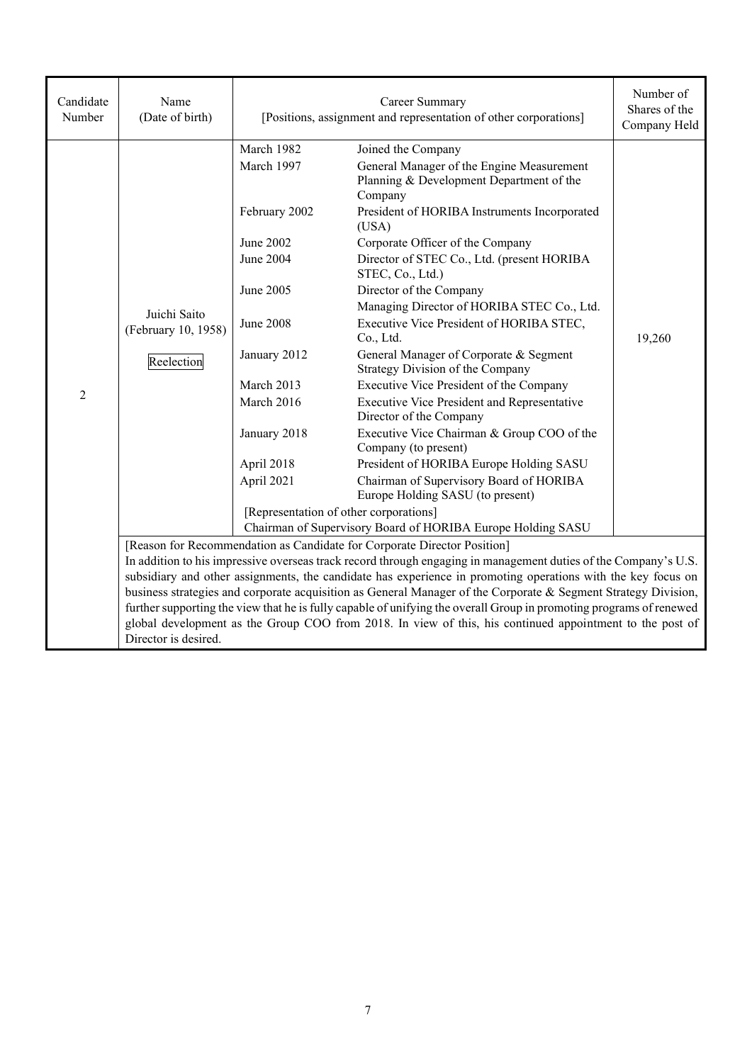| Candidate<br>Number | Name<br>(Date of birth)                                                  | Career Summary<br>[Positions, assignment and representation of other corporations]                                                                                                                                                                                                                                                                                                                                                                                                                                                                                                   |                                                                                                                                                                                                                                                                                                                                                                                                                                                                                                                                                                                                                                                                                                                                                                                                                            | Number of<br>Shares of the<br>Company Held |  |
|---------------------|--------------------------------------------------------------------------|--------------------------------------------------------------------------------------------------------------------------------------------------------------------------------------------------------------------------------------------------------------------------------------------------------------------------------------------------------------------------------------------------------------------------------------------------------------------------------------------------------------------------------------------------------------------------------------|----------------------------------------------------------------------------------------------------------------------------------------------------------------------------------------------------------------------------------------------------------------------------------------------------------------------------------------------------------------------------------------------------------------------------------------------------------------------------------------------------------------------------------------------------------------------------------------------------------------------------------------------------------------------------------------------------------------------------------------------------------------------------------------------------------------------------|--------------------------------------------|--|
| $\overline{2}$      | Juichi Saito<br>(February 10, 1958)<br>Reelection                        | March 1982<br>March 1997<br>February 2002<br>June 2002<br>June 2004<br>June 2005<br><b>June 2008</b><br>January 2012<br>March 2013<br>March 2016<br>January 2018<br>April 2018<br>April 2021<br>[Representation of other corporations]                                                                                                                                                                                                                                                                                                                                               | Joined the Company<br>General Manager of the Engine Measurement<br>Planning & Development Department of the<br>Company<br>President of HORIBA Instruments Incorporated<br>(USA)<br>Corporate Officer of the Company<br>Director of STEC Co., Ltd. (present HORIBA<br>STEC, Co., Ltd.)<br>Director of the Company<br>Managing Director of HORIBA STEC Co., Ltd.<br>Executive Vice President of HORIBA STEC,<br>Co., Ltd.<br>General Manager of Corporate & Segment<br>Strategy Division of the Company<br>Executive Vice President of the Company<br>Executive Vice President and Representative<br>Director of the Company<br>Executive Vice Chairman & Group COO of the<br>Company (to present)<br>President of HORIBA Europe Holding SASU<br>Chairman of Supervisory Board of HORIBA<br>Europe Holding SASU (to present) | 19,260                                     |  |
|                     |                                                                          |                                                                                                                                                                                                                                                                                                                                                                                                                                                                                                                                                                                      | Chairman of Supervisory Board of HORIBA Europe Holding SASU                                                                                                                                                                                                                                                                                                                                                                                                                                                                                                                                                                                                                                                                                                                                                                |                                            |  |
|                     | [Reason for Recommendation as Candidate for Corporate Director Position] |                                                                                                                                                                                                                                                                                                                                                                                                                                                                                                                                                                                      |                                                                                                                                                                                                                                                                                                                                                                                                                                                                                                                                                                                                                                                                                                                                                                                                                            |                                            |  |
|                     |                                                                          | In addition to his impressive overseas track record through engaging in management duties of the Company's U.S.<br>subsidiary and other assignments, the candidate has experience in promoting operations with the key focus on<br>business strategies and corporate acquisition as General Manager of the Corporate & Segment Strategy Division,<br>further supporting the view that he is fully capable of unifying the overall Group in promoting programs of renewed<br>global development as the Group COO from 2018. In view of this, his continued appointment to the post of |                                                                                                                                                                                                                                                                                                                                                                                                                                                                                                                                                                                                                                                                                                                                                                                                                            |                                            |  |
|                     | Director is desired.                                                     |                                                                                                                                                                                                                                                                                                                                                                                                                                                                                                                                                                                      |                                                                                                                                                                                                                                                                                                                                                                                                                                                                                                                                                                                                                                                                                                                                                                                                                            |                                            |  |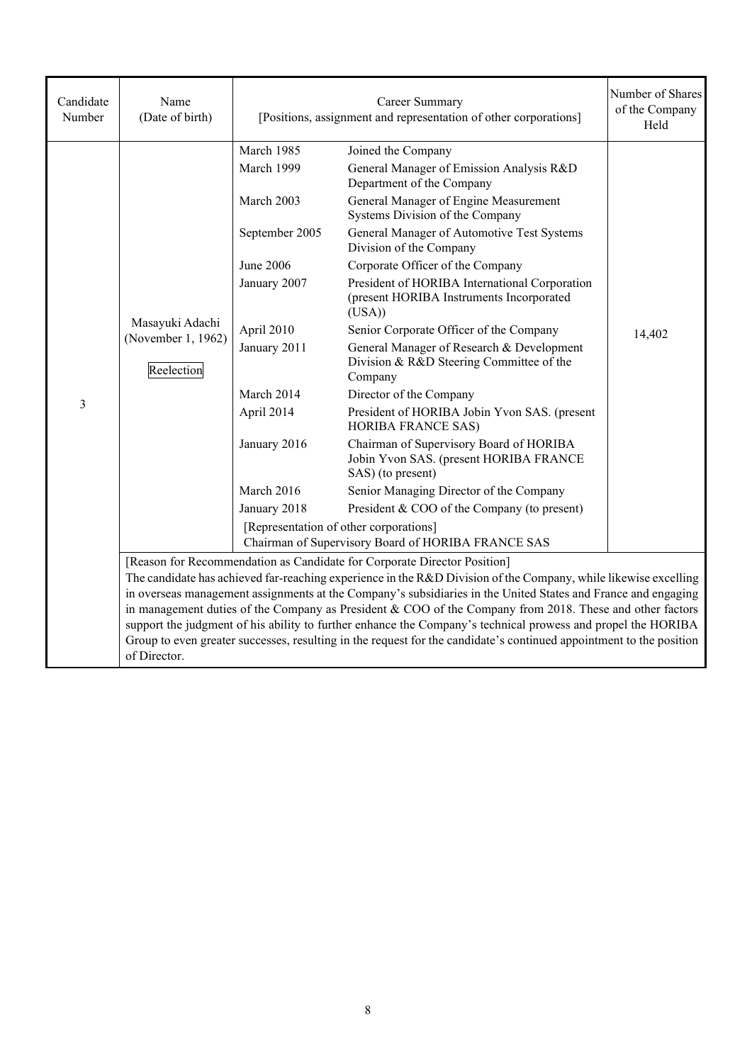| Candidate<br>Number | Name<br>(Date of birth)                                                                                                                                                                                                                                                                                                                                                                                                                                                                                                                                                                                                                                                         |                                                                                                                                                                                               | Career Summary<br>[Positions, assignment and representation of other corporations]                                                                                                                                                                                                                                                                                                                                                                                                                                                                                                                                                                                                                                                                                                                                                                                                                                                                    |        |  |
|---------------------|---------------------------------------------------------------------------------------------------------------------------------------------------------------------------------------------------------------------------------------------------------------------------------------------------------------------------------------------------------------------------------------------------------------------------------------------------------------------------------------------------------------------------------------------------------------------------------------------------------------------------------------------------------------------------------|-----------------------------------------------------------------------------------------------------------------------------------------------------------------------------------------------|-------------------------------------------------------------------------------------------------------------------------------------------------------------------------------------------------------------------------------------------------------------------------------------------------------------------------------------------------------------------------------------------------------------------------------------------------------------------------------------------------------------------------------------------------------------------------------------------------------------------------------------------------------------------------------------------------------------------------------------------------------------------------------------------------------------------------------------------------------------------------------------------------------------------------------------------------------|--------|--|
| 3                   | Masayuki Adachi<br>(November 1, 1962)<br>Reelection                                                                                                                                                                                                                                                                                                                                                                                                                                                                                                                                                                                                                             | March 1985<br>March 1999<br>March 2003<br>September 2005<br>June 2006<br>January 2007<br>April 2010<br>January 2011<br>March 2014<br>April 2014<br>January 2016<br>March 2016<br>January 2018 | Joined the Company<br>General Manager of Emission Analysis R&D<br>Department of the Company<br>General Manager of Engine Measurement<br>Systems Division of the Company<br>General Manager of Automotive Test Systems<br>Division of the Company<br>Corporate Officer of the Company<br>President of HORIBA International Corporation<br>(present HORIBA Instruments Incorporated<br>(USA)<br>Senior Corporate Officer of the Company<br>General Manager of Research & Development<br>Division & R&D Steering Committee of the<br>Company<br>Director of the Company<br>President of HORIBA Jobin Yvon SAS. (present<br><b>HORIBA FRANCE SAS)</b><br>Chairman of Supervisory Board of HORIBA<br>Jobin Yvon SAS. (present HORIBA FRANCE<br>SAS) (to present)<br>Senior Managing Director of the Company<br>President & COO of the Company (to present)<br>[Representation of other corporations]<br>Chairman of Supervisory Board of HORIBA FRANCE SAS | 14,402 |  |
|                     | [Reason for Recommendation as Candidate for Corporate Director Position]<br>The candidate has achieved far-reaching experience in the R&D Division of the Company, while likewise excelling<br>in overseas management assignments at the Company's subsidiaries in the United States and France and engaging<br>in management duties of the Company as President & COO of the Company from 2018. These and other factors<br>support the judgment of his ability to further enhance the Company's technical prowess and propel the HORIBA<br>Group to even greater successes, resulting in the request for the candidate's continued appointment to the position<br>of Director. |                                                                                                                                                                                               |                                                                                                                                                                                                                                                                                                                                                                                                                                                                                                                                                                                                                                                                                                                                                                                                                                                                                                                                                       |        |  |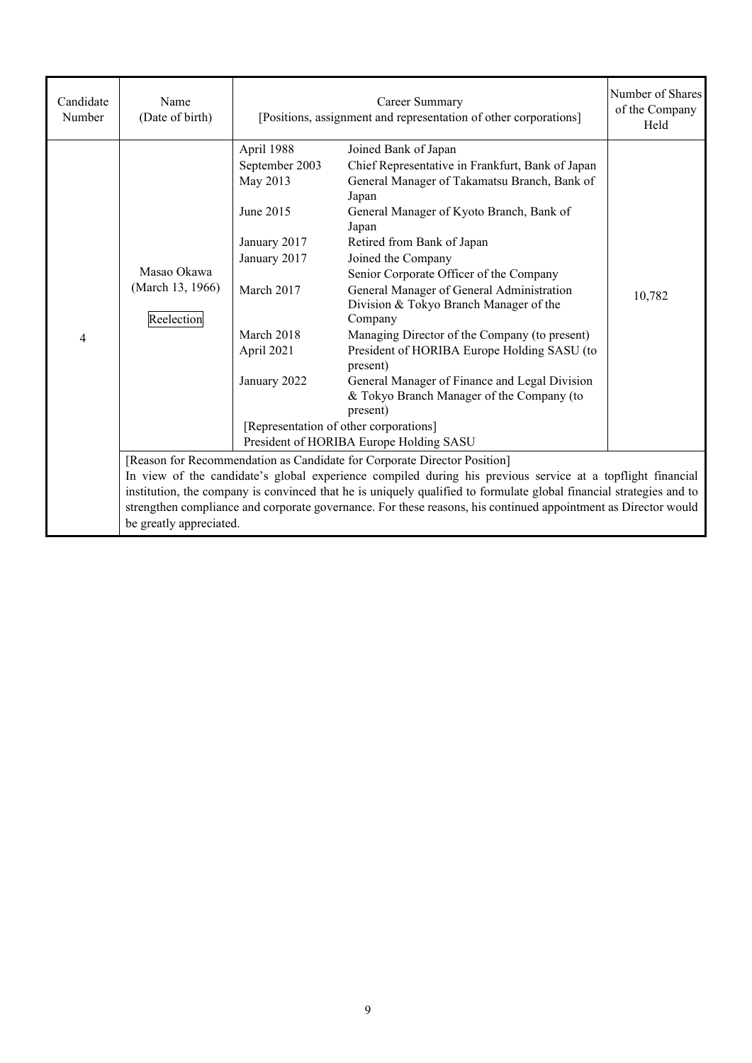| Candidate<br>Number | Name<br>(Date of birth)                                                                                                                                                                                                                                                                                                                                                                                                                                    | Career Summary<br>[Positions, assignment and representation of other corporations]                                                              |                                                                                                                                                                                                                                                                                                                                                                                                                                                                                                                                                                                                                                                                                                    | Number of Shares<br>of the Company<br>Held |
|---------------------|------------------------------------------------------------------------------------------------------------------------------------------------------------------------------------------------------------------------------------------------------------------------------------------------------------------------------------------------------------------------------------------------------------------------------------------------------------|-------------------------------------------------------------------------------------------------------------------------------------------------|----------------------------------------------------------------------------------------------------------------------------------------------------------------------------------------------------------------------------------------------------------------------------------------------------------------------------------------------------------------------------------------------------------------------------------------------------------------------------------------------------------------------------------------------------------------------------------------------------------------------------------------------------------------------------------------------------|--------------------------------------------|
| 4                   | Masao Okawa<br>(March 13, 1966)<br>Reelection                                                                                                                                                                                                                                                                                                                                                                                                              | April 1988<br>September 2003<br>May 2013<br>June 2015<br>January 2017<br>January 2017<br>March 2017<br>March 2018<br>April 2021<br>January 2022 | Joined Bank of Japan<br>Chief Representative in Frankfurt, Bank of Japan<br>General Manager of Takamatsu Branch, Bank of<br>Japan<br>General Manager of Kyoto Branch, Bank of<br>Japan<br>Retired from Bank of Japan<br>Joined the Company<br>Senior Corporate Officer of the Company<br>General Manager of General Administration<br>Division & Tokyo Branch Manager of the<br>Company<br>Managing Director of the Company (to present)<br>President of HORIBA Europe Holding SASU (to<br>present)<br>General Manager of Finance and Legal Division<br>& Tokyo Branch Manager of the Company (to<br>present)<br>[Representation of other corporations]<br>President of HORIBA Europe Holding SASU | 10,782                                     |
|                     | [Reason for Recommendation as Candidate for Corporate Director Position]<br>In view of the candidate's global experience compiled during his previous service at a topflight financial<br>institution, the company is convinced that he is uniquely qualified to formulate global financial strategies and to<br>strengthen compliance and corporate governance. For these reasons, his continued appointment as Director would<br>be greatly appreciated. |                                                                                                                                                 |                                                                                                                                                                                                                                                                                                                                                                                                                                                                                                                                                                                                                                                                                                    |                                            |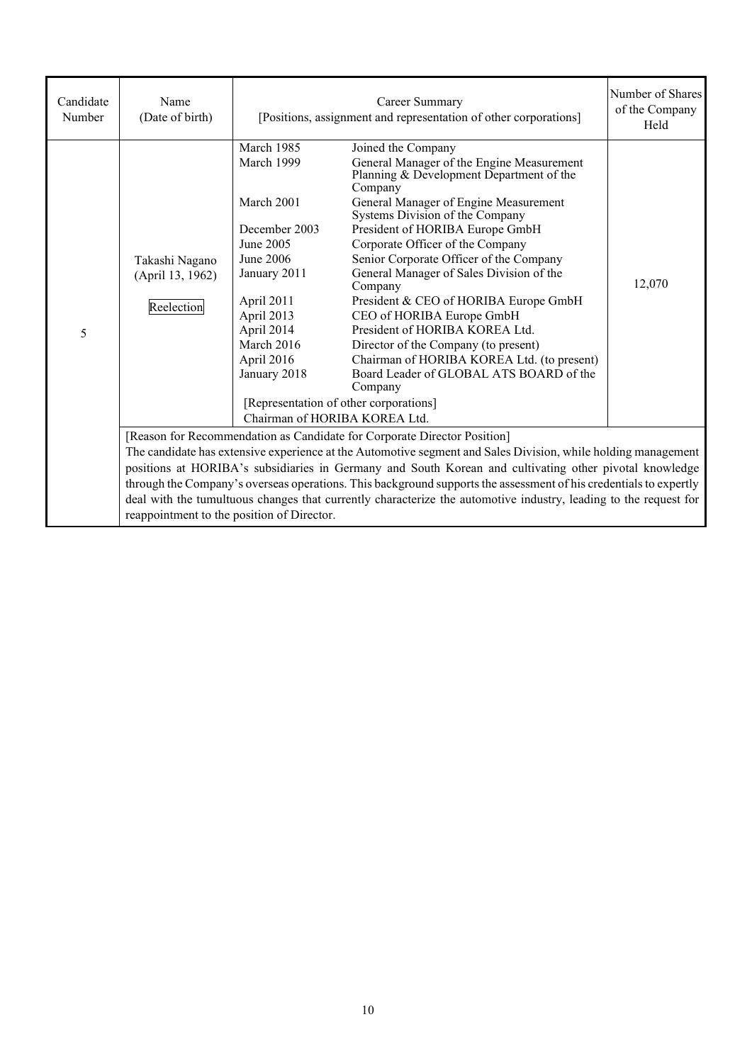| Candidate<br>Number | Name<br>(Date of birth)                          | [Positions, assignment and representation of other corporations]                                                                                                                                                            | Number of Shares<br>of the Company<br>Held                                                                                                                                                                                                                                                                                                                                                                                                                                                                                                                                                                                                                                                                 |        |  |  |
|---------------------|--------------------------------------------------|-----------------------------------------------------------------------------------------------------------------------------------------------------------------------------------------------------------------------------|------------------------------------------------------------------------------------------------------------------------------------------------------------------------------------------------------------------------------------------------------------------------------------------------------------------------------------------------------------------------------------------------------------------------------------------------------------------------------------------------------------------------------------------------------------------------------------------------------------------------------------------------------------------------------------------------------------|--------|--|--|
| 5                   | Takashi Nagano<br>(April 13, 1962)<br>Reelection | March 1985<br>March 1999<br>March 2001<br>December 2003<br>June 2005<br>June 2006<br>January 2011<br>April 2011<br>April 2013<br>April 2014<br>March 2016<br>April 2016<br>January 2018                                     | Joined the Company<br>General Manager of the Engine Measurement<br>Planning & Development Department of the<br>Company<br>General Manager of Engine Measurement<br>Systems Division of the Company<br>President of HORIBA Europe GmbH<br>Corporate Officer of the Company<br>Senior Corporate Officer of the Company<br>General Manager of Sales Division of the<br>Company<br>President & CEO of HORIBA Europe GmbH<br>CEO of HORIBA Europe GmbH<br>President of HORIBA KOREA Ltd.<br>Director of the Company (to present)<br>Chairman of HORIBA KOREA Ltd. (to present)<br>Board Leader of GLOBAL ATS BOARD of the<br>Company<br>[Representation of other corporations]<br>Chairman of HORIBA KOREA Ltd. | 12,070 |  |  |
|                     |                                                  |                                                                                                                                                                                                                             | [Reason for Recommendation as Candidate for Corporate Director Position]                                                                                                                                                                                                                                                                                                                                                                                                                                                                                                                                                                                                                                   |        |  |  |
|                     |                                                  | The candidate has extensive experience at the Automotive segment and Sales Division, while holding management                                                                                                               |                                                                                                                                                                                                                                                                                                                                                                                                                                                                                                                                                                                                                                                                                                            |        |  |  |
|                     |                                                  | positions at HORIBA's subsidiaries in Germany and South Korean and cultivating other pivotal knowledge<br>through the Company's overseas operations. This background supports the assessment of his credentials to expertly |                                                                                                                                                                                                                                                                                                                                                                                                                                                                                                                                                                                                                                                                                                            |        |  |  |
|                     | reappointment to the position of Director.       | deal with the tumultuous changes that currently characterize the automotive industry, leading to the request for                                                                                                            |                                                                                                                                                                                                                                                                                                                                                                                                                                                                                                                                                                                                                                                                                                            |        |  |  |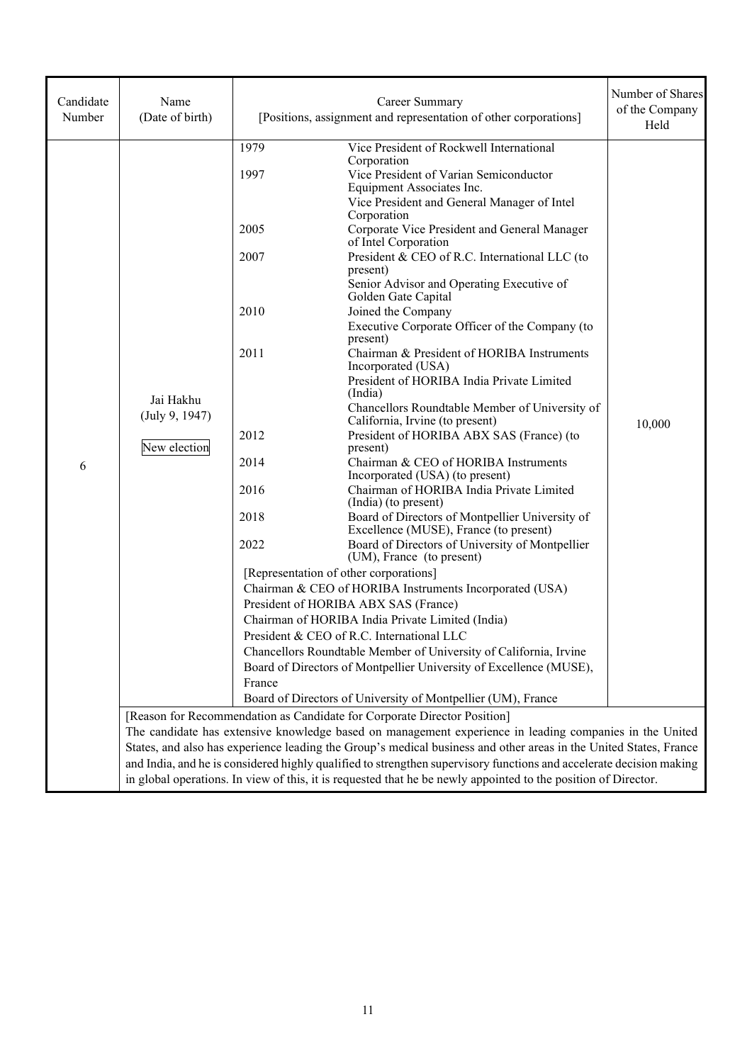| Candidate<br>Number | Name<br>(Date of birth)                     |                                                                                                | Career Summary<br>[Positions, assignment and representation of other corporations]                                                                                                                                                                                                                                                                                                                                                                                                                                                                                                                                                                                                                                                                                                                                                                                                                                                                                                                                                                                                                                                                                                                                                                                                                                                                                                                                                                                                      | Number of Shares<br>of the Company<br>Held |
|---------------------|---------------------------------------------|------------------------------------------------------------------------------------------------|-----------------------------------------------------------------------------------------------------------------------------------------------------------------------------------------------------------------------------------------------------------------------------------------------------------------------------------------------------------------------------------------------------------------------------------------------------------------------------------------------------------------------------------------------------------------------------------------------------------------------------------------------------------------------------------------------------------------------------------------------------------------------------------------------------------------------------------------------------------------------------------------------------------------------------------------------------------------------------------------------------------------------------------------------------------------------------------------------------------------------------------------------------------------------------------------------------------------------------------------------------------------------------------------------------------------------------------------------------------------------------------------------------------------------------------------------------------------------------------------|--------------------------------------------|
| 6                   | Jai Hakhu<br>(July 9, 1947)<br>New election | 1979<br>1997<br>2005<br>2007<br>2010<br>2011<br>2012<br>2014<br>2016<br>2018<br>2022<br>France | Vice President of Rockwell International<br>Corporation<br>Vice President of Varian Semiconductor<br>Equipment Associates Inc.<br>Vice President and General Manager of Intel<br>Corporation<br>Corporate Vice President and General Manager<br>of Intel Corporation<br>President & CEO of R.C. International LLC (to<br>present)<br>Senior Advisor and Operating Executive of<br>Golden Gate Capital<br>Joined the Company<br>Executive Corporate Officer of the Company (to<br>present)<br>Chairman & President of HORIBA Instruments<br>Incorporated (USA)<br>President of HORIBA India Private Limited<br>(India)<br>Chancellors Roundtable Member of University of<br>California, Irvine (to present)<br>President of HORIBA ABX SAS (France) (to<br>present)<br>Chairman & CEO of HORIBA Instruments<br>Incorporated (USA) (to present)<br>Chairman of HORIBA India Private Limited<br>(India) (to present)<br>Board of Directors of Montpellier University of<br>Excellence (MUSE), France (to present)<br>Board of Directors of University of Montpellier<br>(UM), France (to present)<br>[Representation of other corporations]<br>Chairman & CEO of HORIBA Instruments Incorporated (USA)<br>President of HORIBA ABX SAS (France)<br>Chairman of HORIBA India Private Limited (India)<br>President & CEO of R.C. International LLC<br>Chancellors Roundtable Member of University of California, Irvine<br>Board of Directors of Montpellier University of Excellence (MUSE), | 10,000                                     |
|                     |                                             |                                                                                                | Board of Directors of University of Montpellier (UM), France<br>[Reason for Recommendation as Candidate for Corporate Director Position]<br>The candidate has extensive knowledge based on management experience in leading companies in the United<br>States, and also has experience leading the Group's medical business and other areas in the United States, France<br>and India, and he is considered highly qualified to strengthen supervisory functions and accelerate decision making<br>in global operations. In view of this, it is requested that he be newly appointed to the position of Director.                                                                                                                                                                                                                                                                                                                                                                                                                                                                                                                                                                                                                                                                                                                                                                                                                                                                       |                                            |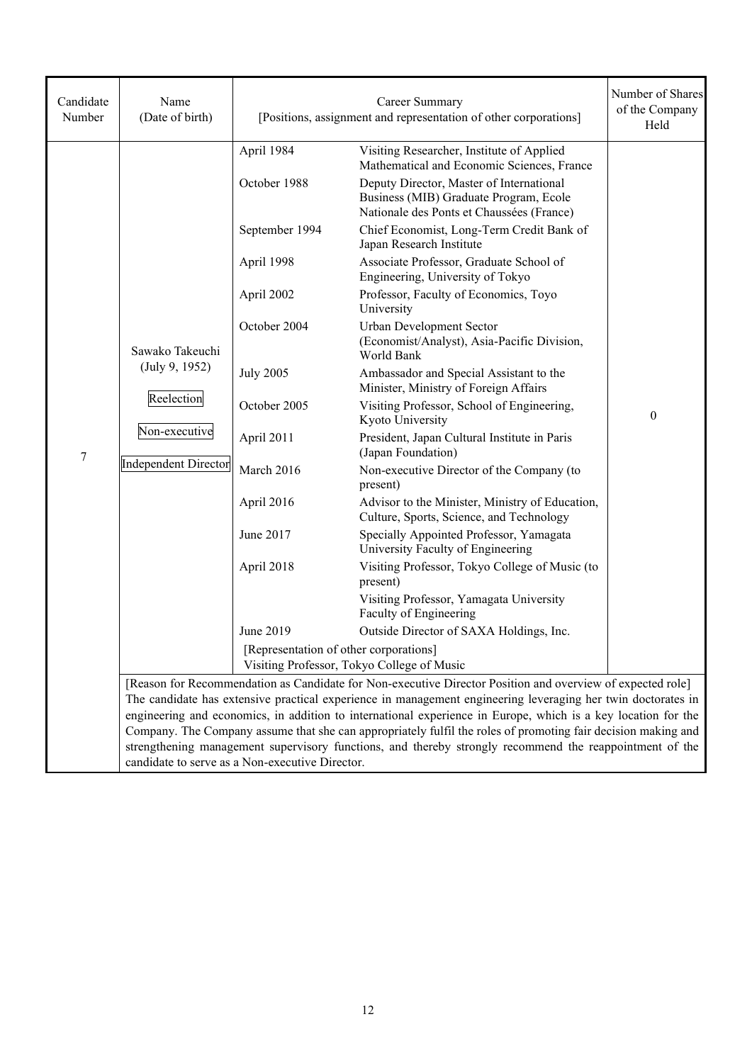| Candidate<br>Number | Name<br>(Date of birth)                                                                         | [Positions, assignment and representation of other corporations]                                                                                                                                                                                         | Number of Shares<br>of the Company<br>Held                                                                                                                                                                                                                                                                                                                                                                                                                                                                                                                                                                                                                                                                                                                                                                                                                                                                                                                                                                                                                                                                                                                                                                                                                                                                                                       |                  |
|---------------------|-------------------------------------------------------------------------------------------------|----------------------------------------------------------------------------------------------------------------------------------------------------------------------------------------------------------------------------------------------------------|--------------------------------------------------------------------------------------------------------------------------------------------------------------------------------------------------------------------------------------------------------------------------------------------------------------------------------------------------------------------------------------------------------------------------------------------------------------------------------------------------------------------------------------------------------------------------------------------------------------------------------------------------------------------------------------------------------------------------------------------------------------------------------------------------------------------------------------------------------------------------------------------------------------------------------------------------------------------------------------------------------------------------------------------------------------------------------------------------------------------------------------------------------------------------------------------------------------------------------------------------------------------------------------------------------------------------------------------------|------------------|
| 7                   | Sawako Takeuchi<br>(July 9, 1952)<br>Reelection<br>Non-executive<br><b>Independent Director</b> | April 1984<br>October 1988<br>September 1994<br>April 1998<br>April 2002<br>October 2004<br><b>July 2005</b><br>October 2005<br>April 2011<br>March 2016<br>April 2016<br>June 2017<br>April 2018<br>June 2019<br>[Representation of other corporations] | Visiting Researcher, Institute of Applied<br>Mathematical and Economic Sciences, France<br>Deputy Director, Master of International<br>Business (MIB) Graduate Program, Ecole<br>Nationale des Ponts et Chaussées (France)<br>Chief Economist, Long-Term Credit Bank of<br>Japan Research Institute<br>Associate Professor, Graduate School of<br>Engineering, University of Tokyo<br>Professor, Faculty of Economics, Toyo<br>University<br>Urban Development Sector<br>(Economist/Analyst), Asia-Pacific Division,<br>World Bank<br>Ambassador and Special Assistant to the<br>Minister, Ministry of Foreign Affairs<br>Visiting Professor, School of Engineering,<br>Kyoto University<br>President, Japan Cultural Institute in Paris<br>(Japan Foundation)<br>Non-executive Director of the Company (to<br>present)<br>Advisor to the Minister, Ministry of Education,<br>Culture, Sports, Science, and Technology<br>Specially Appointed Professor, Yamagata<br>University Faculty of Engineering<br>Visiting Professor, Tokyo College of Music (to<br>present)<br>Visiting Professor, Yamagata University<br>Faculty of Engineering<br>Outside Director of SAXA Holdings, Inc.<br>Visiting Professor, Tokyo College of Music<br>[Reason for Recommendation as Candidate for Non-executive Director Position and overview of expected role] | $\boldsymbol{0}$ |
|                     |                                                                                                 | candidate to serve as a Non-executive Director.                                                                                                                                                                                                          | The candidate has extensive practical experience in management engineering leveraging her twin doctorates in<br>engineering and economics, in addition to international experience in Europe, which is a key location for the<br>Company. The Company assume that she can appropriately fulfil the roles of promoting fair decision making and<br>strengthening management supervisory functions, and thereby strongly recommend the reappointment of the                                                                                                                                                                                                                                                                                                                                                                                                                                                                                                                                                                                                                                                                                                                                                                                                                                                                                        |                  |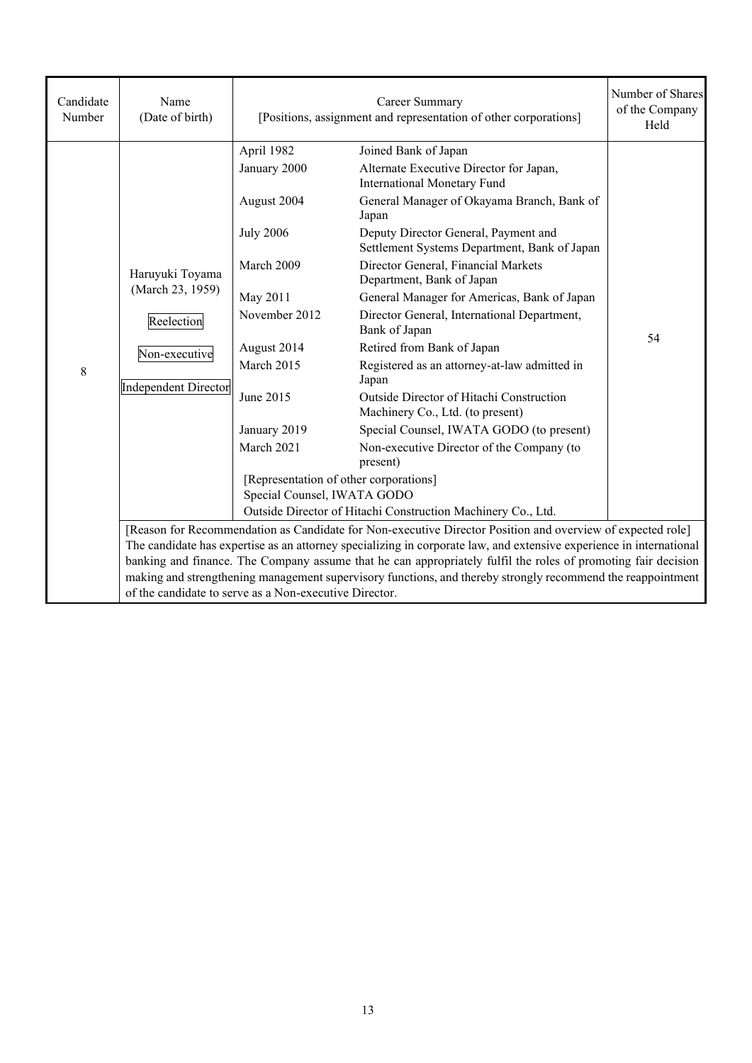| Candidate<br>Number | Name<br>(Date of birth)                                                                                                                                                                                                           | Career Summary<br>[Positions, assignment and representation of other corporations] |                                                                                      | Number of Shares<br>of the Company<br>Held |  |
|---------------------|-----------------------------------------------------------------------------------------------------------------------------------------------------------------------------------------------------------------------------------|------------------------------------------------------------------------------------|--------------------------------------------------------------------------------------|--------------------------------------------|--|
|                     |                                                                                                                                                                                                                                   | April 1982<br>January 2000                                                         | Joined Bank of Japan<br>Alternate Executive Director for Japan,                      |                                            |  |
|                     |                                                                                                                                                                                                                                   |                                                                                    | <b>International Monetary Fund</b>                                                   |                                            |  |
|                     |                                                                                                                                                                                                                                   | August 2004                                                                        | General Manager of Okayama Branch, Bank of<br>Japan                                  |                                            |  |
|                     |                                                                                                                                                                                                                                   | <b>July 2006</b>                                                                   | Deputy Director General, Payment and<br>Settlement Systems Department, Bank of Japan |                                            |  |
|                     | Haruyuki Toyama                                                                                                                                                                                                                   | March 2009                                                                         | Director General, Financial Markets<br>Department, Bank of Japan                     |                                            |  |
|                     | (March 23, 1959)                                                                                                                                                                                                                  | May 2011                                                                           | General Manager for Americas, Bank of Japan                                          |                                            |  |
|                     | Reelection<br>Non-executive<br><b>Independent Director</b>                                                                                                                                                                        | November 2012                                                                      | Director General, International Department,<br>Bank of Japan                         | 54                                         |  |
|                     |                                                                                                                                                                                                                                   | August 2014                                                                        | Retired from Bank of Japan                                                           |                                            |  |
| 8                   |                                                                                                                                                                                                                                   | March 2015                                                                         | Registered as an attorney-at-law admitted in<br>Japan                                |                                            |  |
|                     |                                                                                                                                                                                                                                   | June 2015                                                                          | Outside Director of Hitachi Construction<br>Machinery Co., Ltd. (to present)         |                                            |  |
|                     |                                                                                                                                                                                                                                   | January 2019                                                                       | Special Counsel, IWATA GODO (to present)                                             |                                            |  |
|                     |                                                                                                                                                                                                                                   | March 2021                                                                         | Non-executive Director of the Company (to<br>present)                                |                                            |  |
|                     |                                                                                                                                                                                                                                   | [Representation of other corporations]                                             |                                                                                      |                                            |  |
|                     |                                                                                                                                                                                                                                   | Special Counsel, IWATA GODO                                                        |                                                                                      |                                            |  |
|                     |                                                                                                                                                                                                                                   |                                                                                    | Outside Director of Hitachi Construction Machinery Co., Ltd.                         |                                            |  |
|                     | [Reason for Recommendation as Candidate for Non-executive Director Position and overview of expected role]<br>The candidate has expertise as an attorney specializing in corporate law, and extensive experience in international |                                                                                    |                                                                                      |                                            |  |
|                     | banking and finance. The Company assume that he can appropriately fulfil the roles of promoting fair decision                                                                                                                     |                                                                                    |                                                                                      |                                            |  |
|                     | making and strengthening management supervisory functions, and thereby strongly recommend the reappointment<br>of the candidate to serve as a Non-executive Director.                                                             |                                                                                    |                                                                                      |                                            |  |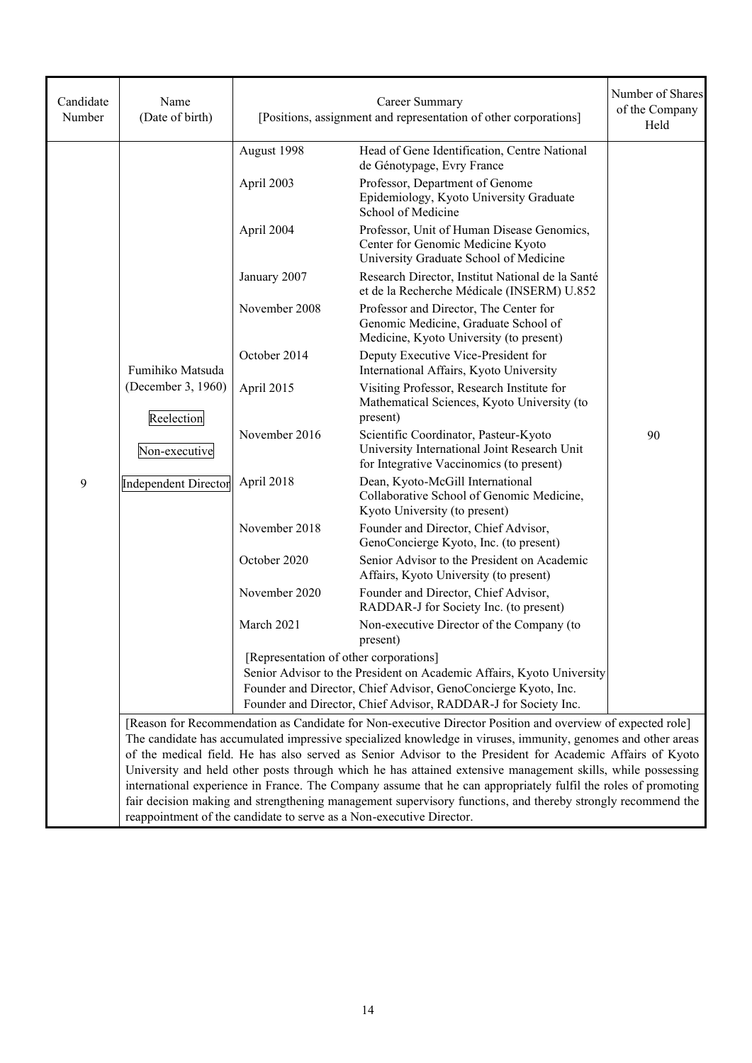| Candidate<br>Number | Name<br>(Date of birth)                                                                                                                                                                                                                                                                                                                      | Career Summary<br>[Positions, assignment and representation of other corporations] |                                                                                                                                                                                                           | Number of Shares<br>of the Company<br>Held |
|---------------------|----------------------------------------------------------------------------------------------------------------------------------------------------------------------------------------------------------------------------------------------------------------------------------------------------------------------------------------------|------------------------------------------------------------------------------------|-----------------------------------------------------------------------------------------------------------------------------------------------------------------------------------------------------------|--------------------------------------------|
|                     |                                                                                                                                                                                                                                                                                                                                              | August 1998                                                                        | Head of Gene Identification, Centre National<br>de Génotypage, Evry France                                                                                                                                |                                            |
|                     |                                                                                                                                                                                                                                                                                                                                              | April 2003                                                                         | Professor, Department of Genome<br>Epidemiology, Kyoto University Graduate<br>School of Medicine                                                                                                          |                                            |
|                     |                                                                                                                                                                                                                                                                                                                                              | April 2004                                                                         | Professor, Unit of Human Disease Genomics,<br>Center for Genomic Medicine Kyoto<br>University Graduate School of Medicine                                                                                 |                                            |
|                     |                                                                                                                                                                                                                                                                                                                                              | January 2007                                                                       | Research Director, Institut National de la Santé<br>et de la Recherche Médicale (INSERM) U.852                                                                                                            |                                            |
|                     |                                                                                                                                                                                                                                                                                                                                              | November 2008                                                                      | Professor and Director, The Center for<br>Genomic Medicine, Graduate School of<br>Medicine, Kyoto University (to present)                                                                                 |                                            |
|                     | Fumihiko Matsuda                                                                                                                                                                                                                                                                                                                             | October 2014                                                                       | Deputy Executive Vice-President for<br>International Affairs, Kyoto University                                                                                                                            |                                            |
|                     | (December 3, 1960)<br>Reelection<br>Non-executive<br><b>Independent Director</b>                                                                                                                                                                                                                                                             | April 2015                                                                         | Visiting Professor, Research Institute for<br>Mathematical Sciences, Kyoto University (to<br>present)                                                                                                     |                                            |
|                     |                                                                                                                                                                                                                                                                                                                                              | November 2016                                                                      | Scientific Coordinator, Pasteur-Kyoto<br>University International Joint Research Unit<br>for Integrative Vaccinomics (to present)                                                                         | 90                                         |
| 9                   |                                                                                                                                                                                                                                                                                                                                              | April 2018                                                                         | Dean, Kyoto-McGill International<br>Collaborative School of Genomic Medicine,<br>Kyoto University (to present)                                                                                            |                                            |
|                     |                                                                                                                                                                                                                                                                                                                                              | November 2018                                                                      | Founder and Director, Chief Advisor,<br>GenoConcierge Kyoto, Inc. (to present)                                                                                                                            |                                            |
|                     |                                                                                                                                                                                                                                                                                                                                              | October 2020                                                                       | Senior Advisor to the President on Academic<br>Affairs, Kyoto University (to present)                                                                                                                     |                                            |
|                     |                                                                                                                                                                                                                                                                                                                                              | November 2020                                                                      | Founder and Director, Chief Advisor,<br>RADDAR-J for Society Inc. (to present)                                                                                                                            |                                            |
|                     |                                                                                                                                                                                                                                                                                                                                              | March 2021                                                                         | Non-executive Director of the Company (to<br>present)                                                                                                                                                     |                                            |
|                     |                                                                                                                                                                                                                                                                                                                                              | [Representation of other corporations]                                             | Senior Advisor to the President on Academic Affairs, Kyoto University<br>Founder and Director, Chief Advisor, GenoConcierge Kyoto, Inc.<br>Founder and Director, Chief Advisor, RADDAR-J for Society Inc. |                                            |
|                     | [Reason for Recommendation as Candidate for Non-executive Director Position and overview of expected role]                                                                                                                                                                                                                                   |                                                                                    |                                                                                                                                                                                                           |                                            |
|                     |                                                                                                                                                                                                                                                                                                                                              |                                                                                    | The candidate has accumulated impressive specialized knowledge in viruses, immunity, genomes and other areas                                                                                              |                                            |
|                     |                                                                                                                                                                                                                                                                                                                                              |                                                                                    | of the medical field. He has also served as Senior Advisor to the President for Academic Affairs of Kyoto                                                                                                 |                                            |
|                     | University and held other posts through which he has attained extensive management skills, while possessing<br>international experience in France. The Company assume that he can appropriately fulfil the roles of promoting<br>fair decision making and strengthening management supervisory functions, and thereby strongly recommend the |                                                                                    |                                                                                                                                                                                                           |                                            |
|                     |                                                                                                                                                                                                                                                                                                                                              |                                                                                    |                                                                                                                                                                                                           |                                            |
|                     | reappointment of the candidate to serve as a Non-executive Director.                                                                                                                                                                                                                                                                         |                                                                                    |                                                                                                                                                                                                           |                                            |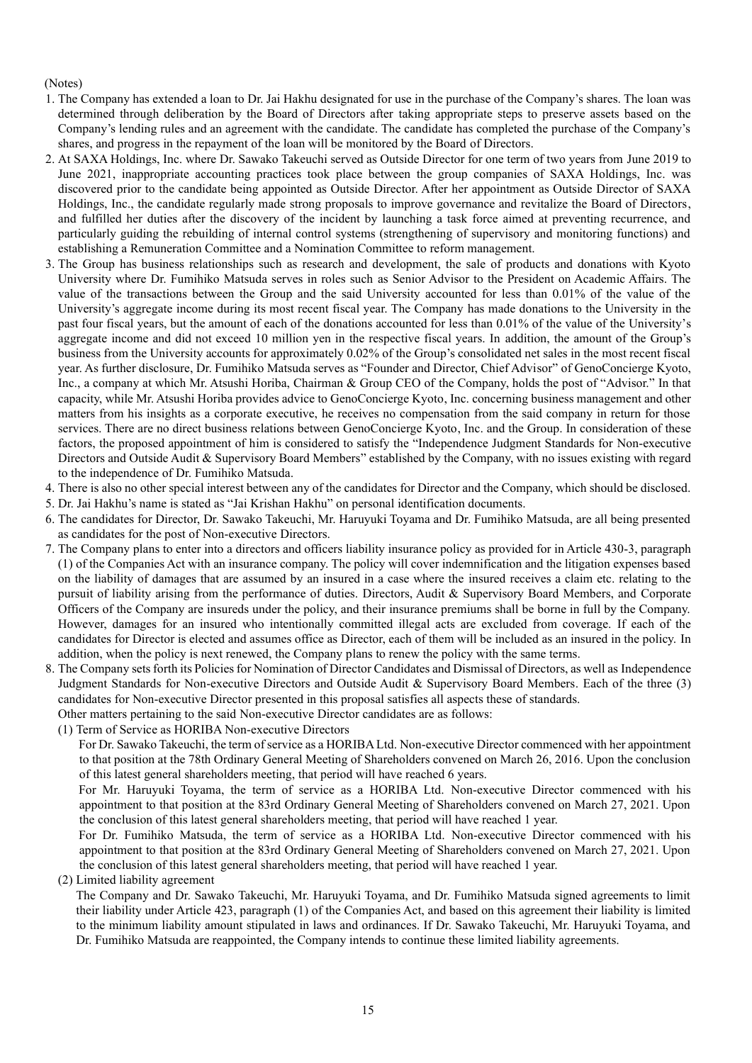## (Notes)

- 1. The Company has extended a loan to Dr. Jai Hakhu designated for use in the purchase of the Company's shares. The loan was determined through deliberation by the Board of Directors after taking appropriate steps to preserve assets based on the Company's lending rules and an agreement with the candidate. The candidate has completed the purchase of the Company's shares, and progress in the repayment of the loan will be monitored by the Board of Directors.
- 2. At SAXA Holdings, Inc. where Dr. Sawako Takeuchi served as Outside Director for one term of two years from June 2019 to June 2021, inappropriate accounting practices took place between the group companies of SAXA Holdings, Inc. was discovered prior to the candidate being appointed as Outside Director. After her appointment as Outside Director of SAXA Holdings, Inc., the candidate regularly made strong proposals to improve governance and revitalize the Board of Directors, and fulfilled her duties after the discovery of the incident by launching a task force aimed at preventing recurrence, and particularly guiding the rebuilding of internal control systems (strengthening of supervisory and monitoring functions) and establishing a Remuneration Committee and a Nomination Committee to reform management.
- 3. The Group has business relationships such as research and development, the sale of products and donations with Kyoto University where Dr. Fumihiko Matsuda serves in roles such as Senior Advisor to the President on Academic Affairs. The value of the transactions between the Group and the said University accounted for less than 0.01% of the value of the University's aggregate income during its most recent fiscal year. The Company has made donations to the University in the past four fiscal years, but the amount of each of the donations accounted for less than 0.01% of the value of the University's aggregate income and did not exceed 10 million yen in the respective fiscal years. In addition, the amount of the Group's business from the University accounts for approximately 0.02% of the Group's consolidated net sales in the most recent fiscal year. As further disclosure, Dr. Fumihiko Matsuda serves as "Founder and Director, Chief Advisor" of GenoConcierge Kyoto, Inc., a company at which Mr. Atsushi Horiba, Chairman & Group CEO of the Company, holds the post of "Advisor." In that capacity, while Mr. Atsushi Horiba provides advice to GenoConcierge Kyoto, Inc. concerning business management and other matters from his insights as a corporate executive, he receives no compensation from the said company in return for those services. There are no direct business relations between GenoConcierge Kyoto, Inc. and the Group. In consideration of these factors, the proposed appointment of him is considered to satisfy the "Independence Judgment Standards for Non-executive Directors and Outside Audit & Supervisory Board Members" established by the Company, with no issues existing with regard to the independence of Dr. Fumihiko Matsuda.
- 4. There is also no other special interest between any of the candidates for Director and the Company, which should be disclosed.
- 5. Dr. Jai Hakhu's name is stated as "Jai Krishan Hakhu" on personal identification documents.
- 6. The candidates for Director, Dr. Sawako Takeuchi, Mr. Haruyuki Toyama and Dr. Fumihiko Matsuda, are all being presented as candidates for the post of Non-executive Directors.
- 7. The Company plans to enter into a directors and officers liability insurance policy as provided for in Article 430-3, paragraph (1) of the Companies Act with an insurance company. The policy will cover indemnification and the litigation expenses based on the liability of damages that are assumed by an insured in a case where the insured receives a claim etc. relating to the pursuit of liability arising from the performance of duties. Directors, Audit & Supervisory Board Members, and Corporate Officers of the Company are insureds under the policy, and their insurance premiums shall be borne in full by the Company. However, damages for an insured who intentionally committed illegal acts are excluded from coverage. If each of the candidates for Director is elected and assumes office as Director, each of them will be included as an insured in the policy. In addition, when the policy is next renewed, the Company plans to renew the policy with the same terms.
- 8. The Company sets forth its Policies for Nomination of Director Candidates and Dismissal of Directors, as well as Independence Judgment Standards for Non-executive Directors and Outside Audit & Supervisory Board Members. Each of the three (3) candidates for Non-executive Director presented in this proposal satisfies all aspects these of standards.

Other matters pertaining to the said Non-executive Director candidates are as follows:

(1) Term of Service as HORIBA Non-executive Directors

For Dr. Sawako Takeuchi, the term of service as a HORIBA Ltd. Non-executive Director commenced with her appointment to that position at the 78th Ordinary General Meeting of Shareholders convened on March 26, 2016. Upon the conclusion of this latest general shareholders meeting, that period will have reached 6 years.

For Mr. Haruyuki Toyama, the term of service as a HORIBA Ltd. Non-executive Director commenced with his appointment to that position at the 83rd Ordinary General Meeting of Shareholders convened on March 27, 2021. Upon the conclusion of this latest general shareholders meeting, that period will have reached 1 year.

For Dr. Fumihiko Matsuda, the term of service as a HORIBA Ltd. Non-executive Director commenced with his appointment to that position at the 83rd Ordinary General Meeting of Shareholders convened on March 27, 2021. Upon the conclusion of this latest general shareholders meeting, that period will have reached 1 year.

(2) Limited liability agreement

The Company and Dr. Sawako Takeuchi, Mr. Haruyuki Toyama, and Dr. Fumihiko Matsuda signed agreements to limit their liability under Article 423, paragraph (1) of the Companies Act, and based on this agreement their liability is limited to the minimum liability amount stipulated in laws and ordinances. If Dr. Sawako Takeuchi, Mr. Haruyuki Toyama, and Dr. Fumihiko Matsuda are reappointed, the Company intends to continue these limited liability agreements.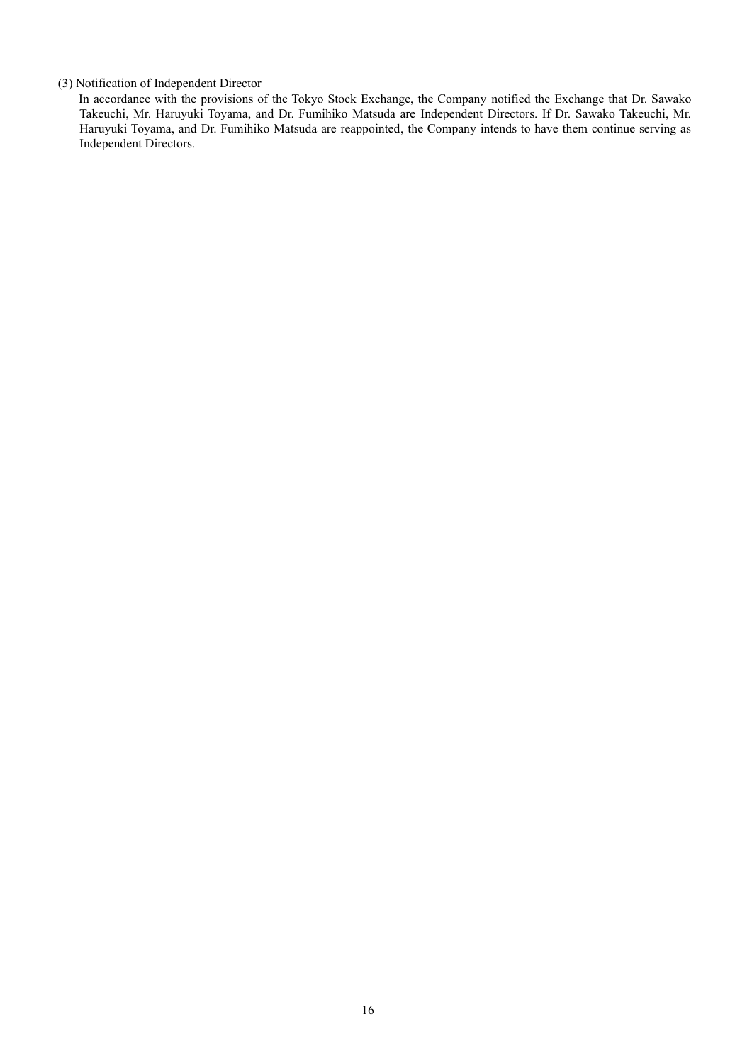### (3) Notification of Independent Director

In accordance with the provisions of the Tokyo Stock Exchange, the Company notified the Exchange that Dr. Sawako Takeuchi, Mr. Haruyuki Toyama, and Dr. Fumihiko Matsuda are Independent Directors. If Dr. Sawako Takeuchi, Mr. Haruyuki Toyama, and Dr. Fumihiko Matsuda are reappointed, the Company intends to have them continue serving as Independent Directors.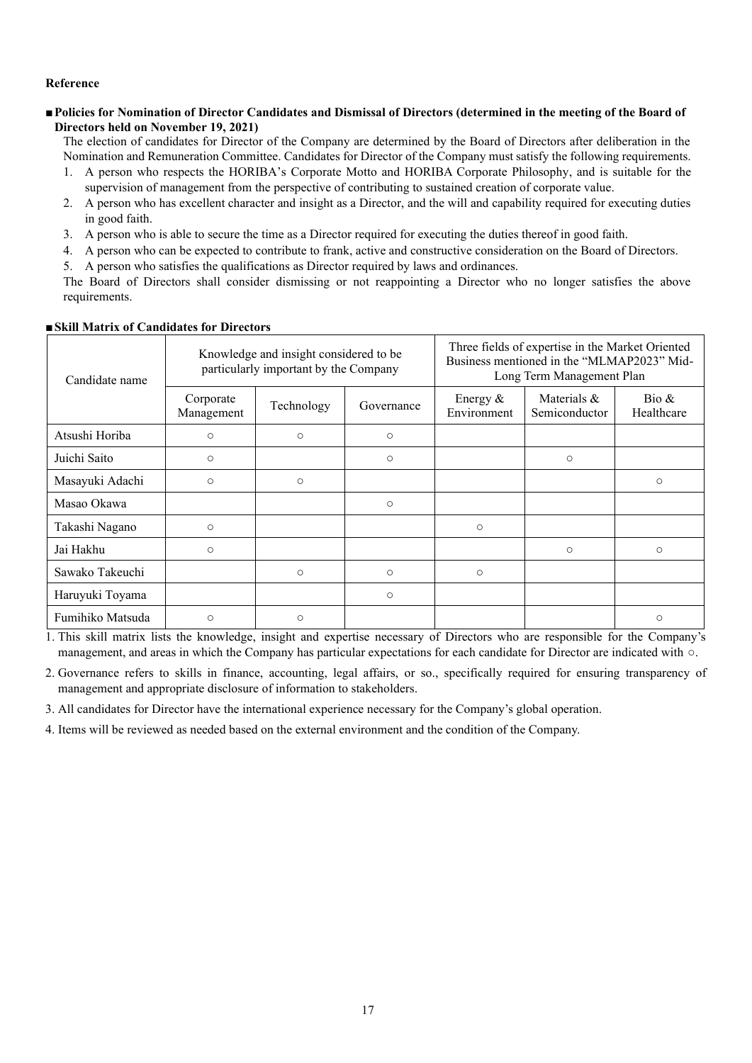### **Reference**

## **■Policies for Nomination of Director Candidates and Dismissal of Directors (determined in the meeting of the Board of Directors held on November 19, 2021)**

The election of candidates for Director of the Company are determined by the Board of Directors after deliberation in the Nomination and Remuneration Committee. Candidates for Director of the Company must satisfy the following requirements.

- 1. A person who respects the HORIBA's Corporate Motto and HORIBA Corporate Philosophy, and is suitable for the supervision of management from the perspective of contributing to sustained creation of corporate value.
- 2. A person who has excellent character and insight as a Director, and the will and capability required for executing duties in good faith.
- 3. A person who is able to secure the time as a Director required for executing the duties thereof in good faith.
- 4. A person who can be expected to contribute to frank, active and constructive consideration on the Board of Directors.
- 5. A person who satisfies the qualifications as Director required by laws and ordinances.

The Board of Directors shall consider dismissing or not reappointing a Director who no longer satisfies the above requirements.

| Candidate name   | Knowledge and insight considered to be<br>particularly important by the Company |            |            | Three fields of expertise in the Market Oriented<br>Business mentioned in the "MLMAP2023" Mid-<br>Long Term Management Plan |                                 |                                       |
|------------------|---------------------------------------------------------------------------------|------------|------------|-----------------------------------------------------------------------------------------------------------------------------|---------------------------------|---------------------------------------|
|                  | Corporate<br>Management                                                         | Technology | Governance | Energy $&$<br>Environment                                                                                                   | Materials $\&$<br>Semiconductor | $\operatorname{Bio} \&$<br>Healthcare |
| Atsushi Horiba   | $\circ$                                                                         | $\circ$    | $\circ$    |                                                                                                                             |                                 |                                       |
| Juichi Saito     | $\circ$                                                                         |            | $\circ$    |                                                                                                                             | $\circ$                         |                                       |
| Masayuki Adachi  | $\circ$                                                                         | $\circ$    |            |                                                                                                                             |                                 | $\circ$                               |
| Masao Okawa      |                                                                                 |            | $\circ$    |                                                                                                                             |                                 |                                       |
| Takashi Nagano   | $\circ$                                                                         |            |            | $\circ$                                                                                                                     |                                 |                                       |
| Jai Hakhu        | $\circ$                                                                         |            |            |                                                                                                                             | $\circ$                         | $\circ$                               |
| Sawako Takeuchi  |                                                                                 | $\circ$    | $\circ$    | $\circ$                                                                                                                     |                                 |                                       |
| Haruyuki Toyama  |                                                                                 |            | $\circ$    |                                                                                                                             |                                 |                                       |
| Fumihiko Matsuda | $\circ$                                                                         | $\circ$    |            |                                                                                                                             |                                 | $\circ$                               |

## ■**Skill Matrix of Candidates for Directors**

1. This skill matrix lists the knowledge, insight and expertise necessary of Directors who are responsible for the Company's management, and areas in which the Company has particular expectations for each candidate for Director are indicated with ○.

2. Governance refers to skills in finance, accounting, legal affairs, or so., specifically required for ensuring transparency of management and appropriate disclosure of information to stakeholders.

3. All candidates for Director have the international experience necessary for the Company's global operation.

4. Items will be reviewed as needed based on the external environment and the condition of the Company.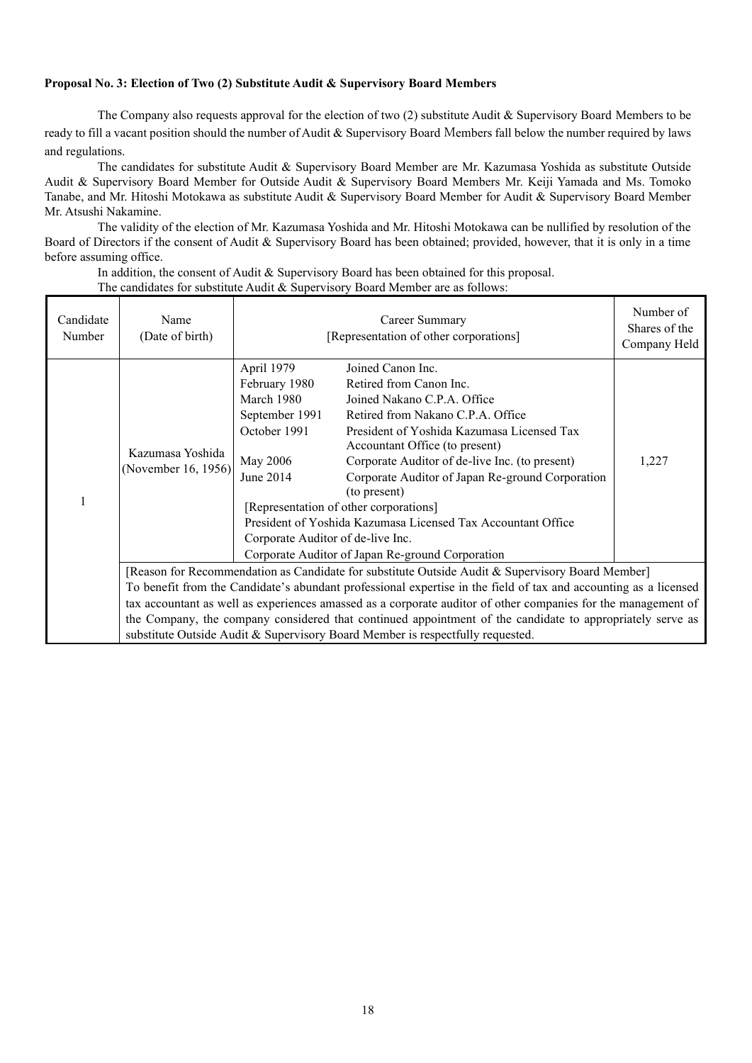## **Proposal No. 3: Election of Two (2) Substitute Audit & Supervisory Board Members**

The Company also requests approval for the election of two (2) substitute Audit & Supervisory Board Members to be ready to fill a vacant position should the number of Audit & Supervisory Board Members fall below the number required by laws and regulations.

The candidates for substitute Audit & Supervisory Board Member are Mr. Kazumasa Yoshida as substitute Outside Audit & Supervisory Board Member for Outside Audit & Supervisory Board Members Mr. Keiji Yamada and Ms. Tomoko Tanabe, and Mr. Hitoshi Motokawa as substitute Audit & Supervisory Board Member for Audit & Supervisory Board Member Mr. Atsushi Nakamine.

The validity of the election of Mr. Kazumasa Yoshida and Mr. Hitoshi Motokawa can be nullified by resolution of the Board of Directors if the consent of Audit & Supervisory Board has been obtained; provided, however, that it is only in a time before assuming office.

In addition, the consent of Audit & Supervisory Board has been obtained for this proposal.

The candidates for substitute Audit & Supervisory Board Member are as follows:

| Candidate<br>Number | Name<br>(Date of birth)                                                                                                                                                                                                                                                                                      | Career Summary<br>[Representation of other corporations]                                                                                  |                                                                                                                                                                                                                                                                                                                                                                                                                                                                                      | Number of<br>Shares of the<br>Company Held |  |
|---------------------|--------------------------------------------------------------------------------------------------------------------------------------------------------------------------------------------------------------------------------------------------------------------------------------------------------------|-------------------------------------------------------------------------------------------------------------------------------------------|--------------------------------------------------------------------------------------------------------------------------------------------------------------------------------------------------------------------------------------------------------------------------------------------------------------------------------------------------------------------------------------------------------------------------------------------------------------------------------------|--------------------------------------------|--|
| 1                   | Kazumasa Yoshida<br>(November 16, 1956)                                                                                                                                                                                                                                                                      | April 1979<br>February 1980<br>March 1980<br>September 1991<br>October 1991<br>May 2006<br>June 2014<br>Corporate Auditor of de-live Inc. | Joined Canon Inc.<br>Retired from Canon Inc.<br>Joined Nakano C.P.A. Office<br>Retired from Nakano C.P.A. Office<br>President of Yoshida Kazumasa Licensed Tax<br>Accountant Office (to present)<br>Corporate Auditor of de-live Inc. (to present)<br>Corporate Auditor of Japan Re-ground Corporation<br>(to present)<br>[Representation of other corporations]<br>President of Yoshida Kazumasa Licensed Tax Accountant Office<br>Corporate Auditor of Japan Re-ground Corporation | 1,227                                      |  |
|                     | [Reason for Recommendation as Candidate for substitute Outside Audit & Supervisory Board Member]<br>To benefit from the Candidate's abundant professional expertise in the field of tax and accounting as a licensed                                                                                         |                                                                                                                                           |                                                                                                                                                                                                                                                                                                                                                                                                                                                                                      |                                            |  |
|                     | tax accountant as well as experiences amassed as a corporate auditor of other companies for the management of<br>the Company, the company considered that continued appointment of the candidate to appropriately serve as<br>substitute Outside Audit & Supervisory Board Member is respectfully requested. |                                                                                                                                           |                                                                                                                                                                                                                                                                                                                                                                                                                                                                                      |                                            |  |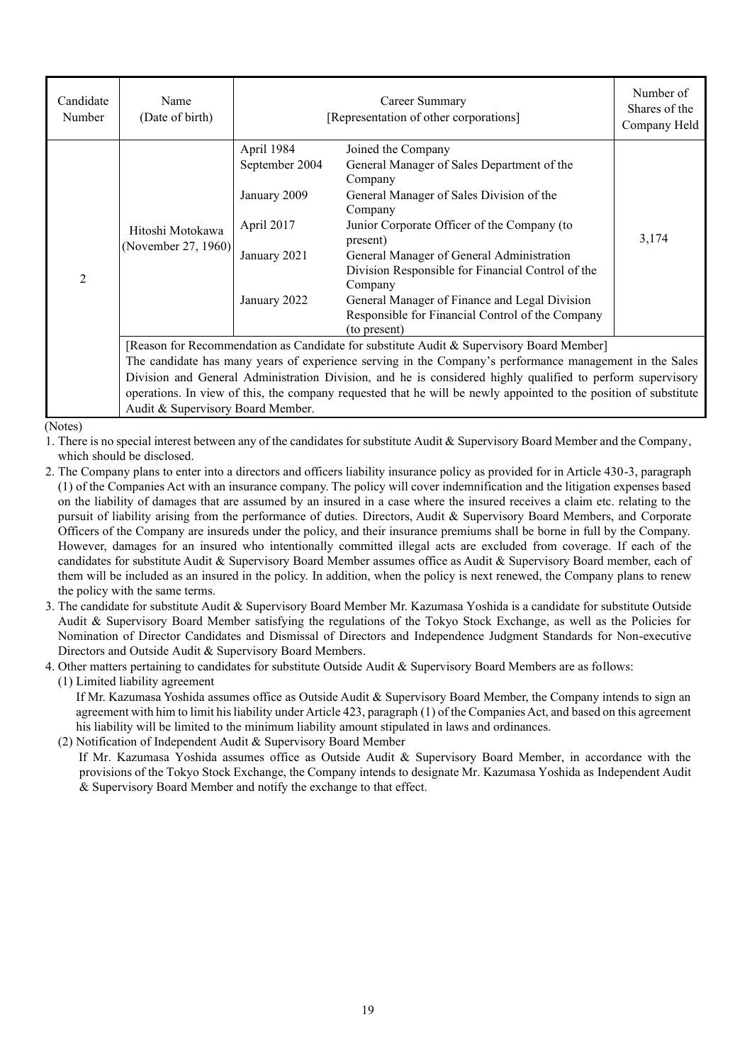| Candidate<br>Number | Name<br>(Date of birth)                                                                                          | Career Summary<br>[Representation of other corporations] |                                                   | Number of<br>Shares of the<br>Company Held |  |
|---------------------|------------------------------------------------------------------------------------------------------------------|----------------------------------------------------------|---------------------------------------------------|--------------------------------------------|--|
|                     |                                                                                                                  | April 1984                                               | Joined the Company                                |                                            |  |
|                     |                                                                                                                  | September 2004                                           | General Manager of Sales Department of the        |                                            |  |
|                     |                                                                                                                  |                                                          | Company                                           |                                            |  |
|                     |                                                                                                                  | January 2009                                             | General Manager of Sales Division of the          |                                            |  |
|                     | Hitoshi Motokawa<br>(November 27, 1960)                                                                          |                                                          | Company                                           |                                            |  |
|                     |                                                                                                                  | April 2017                                               | Junior Corporate Officer of the Company (to       |                                            |  |
|                     |                                                                                                                  |                                                          | present)                                          | 3,174                                      |  |
|                     |                                                                                                                  | January 2021                                             | General Manager of General Administration         |                                            |  |
| $\overline{2}$      |                                                                                                                  |                                                          | Division Responsible for Financial Control of the |                                            |  |
|                     |                                                                                                                  |                                                          | Company                                           |                                            |  |
|                     |                                                                                                                  | January 2022                                             | General Manager of Finance and Legal Division     |                                            |  |
|                     |                                                                                                                  |                                                          | Responsible for Financial Control of the Company  |                                            |  |
|                     |                                                                                                                  |                                                          | (to present)                                      |                                            |  |
|                     | [Reason for Recommendation as Candidate for substitute Audit & Supervisory Board Member]                         |                                                          |                                                   |                                            |  |
|                     | The candidate has many years of experience serving in the Company's performance management in the Sales          |                                                          |                                                   |                                            |  |
|                     | Division and General Administration Division, and he is considered highly qualified to perform supervisory       |                                                          |                                                   |                                            |  |
|                     | operations. In view of this, the company requested that he will be newly appointed to the position of substitute |                                                          |                                                   |                                            |  |

(Notes)

- 1. There is no special interest between any of the candidates for substitute Audit & Supervisory Board Member and the Company, which should be disclosed.
- 2. The Company plans to enter into a directors and officers liability insurance policy as provided for in Article 430-3, paragraph (1) of the Companies Act with an insurance company. The policy will cover indemnification and the litigation expenses based on the liability of damages that are assumed by an insured in a case where the insured receives a claim etc. relating to the pursuit of liability arising from the performance of duties. Directors, Audit & Supervisory Board Members, and Corporate Officers of the Company are insureds under the policy, and their insurance premiums shall be borne in full by the Company. However, damages for an insured who intentionally committed illegal acts are excluded from coverage. If each of the candidates for substitute Audit & Supervisory Board Member assumes office as Audit & Supervisory Board member, each of them will be included as an insured in the policy. In addition, when the policy is next renewed, the Company plans to renew the policy with the same terms.
- 3. The candidate for substitute Audit & Supervisory Board Member Mr. Kazumasa Yoshida is a candidate for substitute Outside Audit & Supervisory Board Member satisfying the regulations of the Tokyo Stock Exchange, as well as the Policies for Nomination of Director Candidates and Dismissal of Directors and Independence Judgment Standards for Non-executive Directors and Outside Audit & Supervisory Board Members.
- 4. Other matters pertaining to candidates for substitute Outside Audit & Supervisory Board Members are as follows:

(1) Limited liability agreement

If Mr. Kazumasa Yoshida assumes office as Outside Audit & Supervisory Board Member, the Company intends to sign an agreement with him to limit his liability under Article 423, paragraph (1) of the Companies Act, and based on this agreement his liability will be limited to the minimum liability amount stipulated in laws and ordinances.

(2) Notification of Independent Audit & Supervisory Board Member

Audit & Supervisory Board Member.

If Mr. Kazumasa Yoshida assumes office as Outside Audit & Supervisory Board Member, in accordance with the provisions of the Tokyo Stock Exchange, the Company intends to designate Mr. Kazumasa Yoshida as Independent Audit & Supervisory Board Member and notify the exchange to that effect.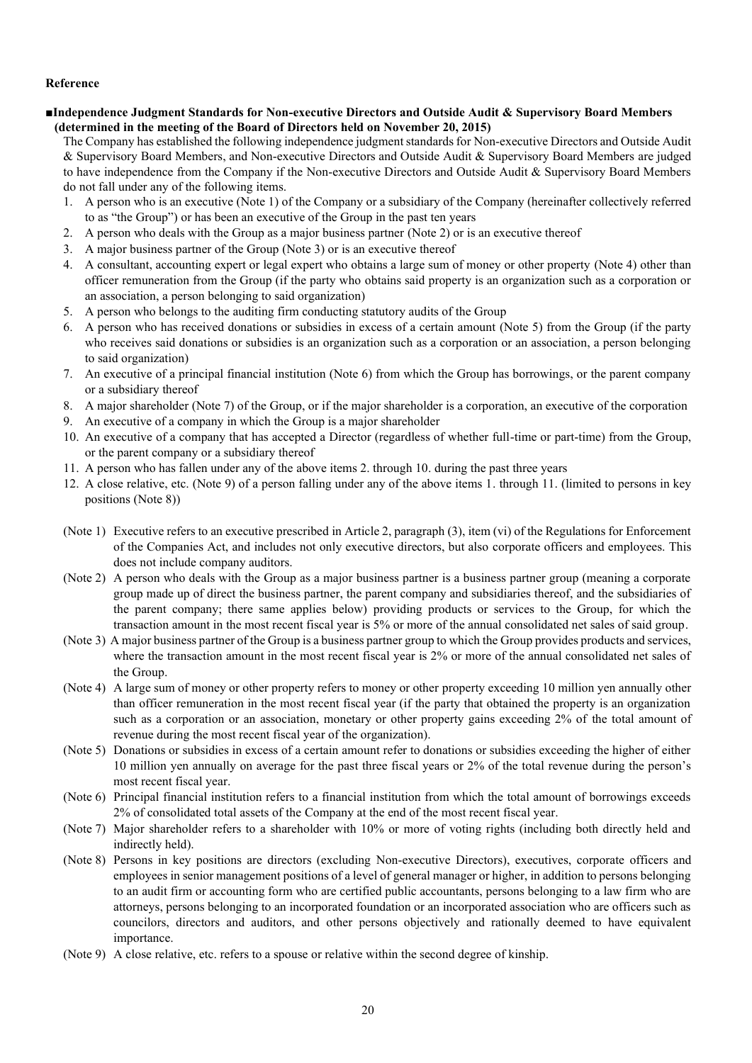### **Reference**

### **■Independence Judgment Standards for Non-executive Directors and Outside Audit & Supervisory Board Members (determined in the meeting of the Board of Directors held on November 20, 2015)**

The Company has established the following independence judgment standards for Non-executive Directors and Outside Audit & Supervisory Board Members, and Non-executive Directors and Outside Audit & Supervisory Board Members are judged to have independence from the Company if the Non-executive Directors and Outside Audit & Supervisory Board Members do not fall under any of the following items.

- 1. A person who is an executive (Note 1) of the Company or a subsidiary of the Company (hereinafter collectively referred to as "the Group") or has been an executive of the Group in the past ten years
- 2. A person who deals with the Group as a major business partner (Note 2) or is an executive thereof
- 3. A major business partner of the Group (Note 3) or is an executive thereof
- 4. A consultant, accounting expert or legal expert who obtains a large sum of money or other property (Note 4) other than officer remuneration from the Group (if the party who obtains said property is an organization such as a corporation or an association, a person belonging to said organization)
- 5. A person who belongs to the auditing firm conducting statutory audits of the Group
- 6. A person who has received donations or subsidies in excess of a certain amount (Note 5) from the Group (if the party who receives said donations or subsidies is an organization such as a corporation or an association, a person belonging to said organization)
- 7. An executive of a principal financial institution (Note 6) from which the Group has borrowings, or the parent company or a subsidiary thereof
- 8. A major shareholder (Note 7) of the Group, or if the major shareholder is a corporation, an executive of the corporation
- 9. An executive of a company in which the Group is a major shareholder
- 10. An executive of a company that has accepted a Director (regardless of whether full-time or part-time) from the Group, or the parent company or a subsidiary thereof
- 11. A person who has fallen under any of the above items 2. through 10. during the past three years
- 12. A close relative, etc. (Note 9) of a person falling under any of the above items 1. through 11. (limited to persons in key positions (Note 8))
- (Note 1) Executive refers to an executive prescribed in Article 2, paragraph (3), item (vi) of the Regulations for Enforcement of the Companies Act, and includes not only executive directors, but also corporate officers and employees. This does not include company auditors.
- (Note 2) A person who deals with the Group as a major business partner is a business partner group (meaning a corporate group made up of direct the business partner, the parent company and subsidiaries thereof, and the subsidiaries of the parent company; there same applies below) providing products or services to the Group, for which the transaction amount in the most recent fiscal year is 5% or more of the annual consolidated net sales of said group.
- (Note 3) A major business partner of the Group is a business partner group to which the Group provides products and services, where the transaction amount in the most recent fiscal year is 2% or more of the annual consolidated net sales of the Group.
- (Note 4) A large sum of money or other property refers to money or other property exceeding 10 million yen annually other than officer remuneration in the most recent fiscal year (if the party that obtained the property is an organization such as a corporation or an association, monetary or other property gains exceeding 2% of the total amount of revenue during the most recent fiscal year of the organization).
- (Note 5) Donations or subsidies in excess of a certain amount refer to donations or subsidies exceeding the higher of either 10 million yen annually on average for the past three fiscal years or 2% of the total revenue during the person's most recent fiscal year.
- (Note 6) Principal financial institution refers to a financial institution from which the total amount of borrowings exceeds 2% of consolidated total assets of the Company at the end of the most recent fiscal year.
- (Note 7) Major shareholder refers to a shareholder with 10% or more of voting rights (including both directly held and indirectly held).
- (Note 8) Persons in key positions are directors (excluding Non-executive Directors), executives, corporate officers and employees in senior management positions of a level of general manager or higher, in addition to persons belonging to an audit firm or accounting form who are certified public accountants, persons belonging to a law firm who are attorneys, persons belonging to an incorporated foundation or an incorporated association who are officers such as councilors, directors and auditors, and other persons objectively and rationally deemed to have equivalent importance.
- (Note 9) A close relative, etc. refers to a spouse or relative within the second degree of kinship.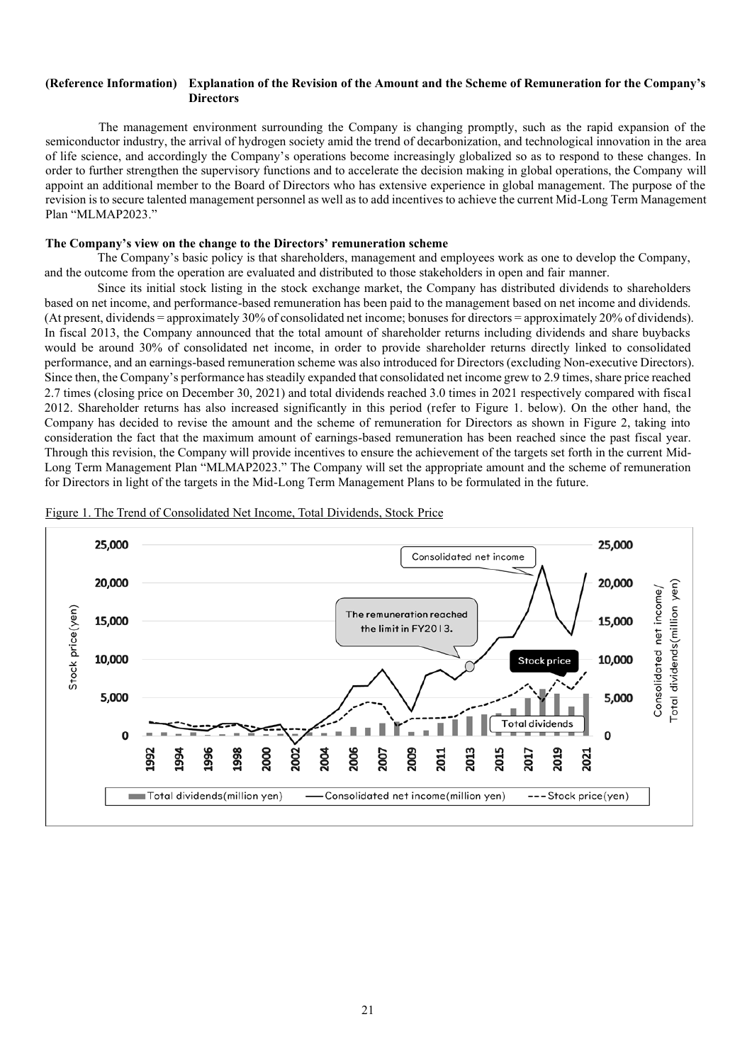#### **(Reference Information) Explanation of the Revision of the Amount and the Scheme of Remuneration for the Company's Directors**

The management environment surrounding the Company is changing promptly, such as the rapid expansion of the semiconductor industry, the arrival of hydrogen society amid the trend of decarbonization, and technological innovation in the area of life science, and accordingly the Company's operations become increasingly globalized so as to respond to these changes. In order to further strengthen the supervisory functions and to accelerate the decision making in global operations, the Company will appoint an additional member to the Board of Directors who has extensive experience in global management. The purpose of the revision is to secure talented management personnel as well as to add incentives to achieve the current Mid-Long Term Management Plan "MLMAP2023."

#### **The Company's view on the change to the Directors' remuneration scheme**

The Company's basic policy is that shareholders, management and employees work as one to develop the Company, and the outcome from the operation are evaluated and distributed to those stakeholders in open and fair manner.

Since its initial stock listing in the stock exchange market, the Company has distributed dividends to shareholders based on net income, and performance-based remuneration has been paid to the management based on net income and dividends. (At present, dividends = approximately 30% of consolidated net income; bonuses for directors = approximately 20% of dividends). In fiscal 2013, the Company announced that the total amount of shareholder returns including dividends and share buybacks would be around 30% of consolidated net income, in order to provide shareholder returns directly linked to consolidated performance, and an earnings-based remuneration scheme was also introduced for Directors (excluding Non-executive Directors). Since then, the Company's performance has steadily expanded that consolidated net income grew to 2.9 times, share price reached 2.7 times (closing price on December 30, 2021) and total dividends reached 3.0 times in 2021 respectively compared with fiscal 2012. Shareholder returns has also increased significantly in this period (refer to Figure 1. below). On the other hand, the Company has decided to revise the amount and the scheme of remuneration for Directors as shown in Figure 2, taking into consideration the fact that the maximum amount of earnings-based remuneration has been reached since the past fiscal year. Through this revision, the Company will provide incentives to ensure the achievement of the targets set forth in the current Mid-Long Term Management Plan "MLMAP2023." The Company will set the appropriate amount and the scheme of remuneration for Directors in light of the targets in the Mid-Long Term Management Plans to be formulated in the future.



Figure 1. The Trend of Consolidated Net Income, Total Dividends, Stock Price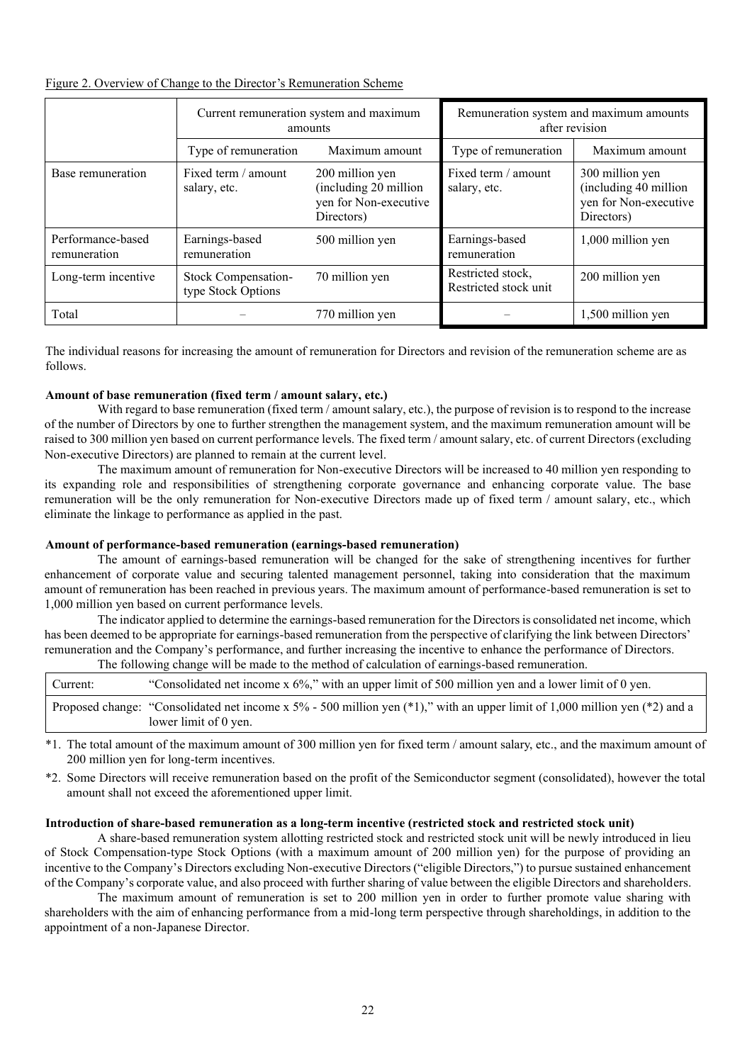## Figure 2. Overview of Change to the Director's Remuneration Scheme

|                                   | Current remuneration system and maximum<br>amounts |                                                                                  | Remuneration system and maximum amounts<br>after revision |                                                                                 |  |
|-----------------------------------|----------------------------------------------------|----------------------------------------------------------------------------------|-----------------------------------------------------------|---------------------------------------------------------------------------------|--|
|                                   | Type of remuneration                               | Maximum amount                                                                   | Type of remuneration                                      | Maximum amount                                                                  |  |
| Base remuneration                 | Fixed term / amount<br>salary, etc.                | 200 million yen<br>(including 20 million)<br>yen for Non-executive<br>Directors) | Fixed term / amount<br>salary, etc.                       | 300 million yen<br>(including 40 million<br>yen for Non-executive<br>Directors) |  |
| Performance-based<br>remuneration | Earnings-based<br>remuneration                     | 500 million yen                                                                  | Earnings-based<br>remuneration                            | 1,000 million yen                                                               |  |
| Long-term incentive               | Stock Compensation-<br>type Stock Options          | 70 million yen                                                                   | Restricted stock,<br>Restricted stock unit                | 200 million yen                                                                 |  |
| Total                             |                                                    | 770 million yen                                                                  |                                                           | 1,500 million yen                                                               |  |

The individual reasons for increasing the amount of remuneration for Directors and revision of the remuneration scheme are as follows.

## **Amount of base remuneration (fixed term / amount salary, etc.)**

With regard to base remuneration (fixed term / amount salary, etc.), the purpose of revision is to respond to the increase of the number of Directors by one to further strengthen the management system, and the maximum remuneration amount will be raised to 300 million yen based on current performance levels. The fixed term / amount salary, etc. of current Directors (excluding Non-executive Directors) are planned to remain at the current level.

The maximum amount of remuneration for Non-executive Directors will be increased to 40 million yen responding to its expanding role and responsibilities of strengthening corporate governance and enhancing corporate value. The base remuneration will be the only remuneration for Non-executive Directors made up of fixed term / amount salary, etc., which eliminate the linkage to performance as applied in the past.

### **Amount of performance-based remuneration (earnings-based remuneration)**

The amount of earnings-based remuneration will be changed for the sake of strengthening incentives for further enhancement of corporate value and securing talented management personnel, taking into consideration that the maximum amount of remuneration has been reached in previous years. The maximum amount of performance-based remuneration is set to 1,000 million yen based on current performance levels.

The indicator applied to determine the earnings-based remuneration for the Directors is consolidated net income, which has been deemed to be appropriate for earnings-based remuneration from the perspective of clarifying the link between Directors' remuneration and the Company's performance, and further increasing the incentive to enhance the performance of Directors. The following change will be made to the method of calculation of earnings-based remuneration.

|          | <u>the following enough will be more to the method of esternoli of estimates concertaints and the state of the state of the state of the state of the state of the state of the state of the state of the state of the state of </u> |
|----------|--------------------------------------------------------------------------------------------------------------------------------------------------------------------------------------------------------------------------------------|
| Current: | "Consolidated net income $x$ 6%," with an upper limit of 500 million yen and a lower limit of 0 yen.                                                                                                                                 |
|          | Proposed change: "Consolidated net income x $5\%$ - 500 million yen (*1)," with an upper limit of 1,000 million yen (*2) and a<br>lower limit of 0 yen.                                                                              |

- \*1. The total amount of the maximum amount of 300 million yen for fixed term / amount salary, etc., and the maximum amount of 200 million yen for long-term incentives.
- \*2. Some Directors will receive remuneration based on the profit of the Semiconductor segment (consolidated), however the total amount shall not exceed the aforementioned upper limit.

### **Introduction of share-based remuneration as a long-term incentive (restricted stock and restricted stock unit)**

A share-based remuneration system allotting restricted stock and restricted stock unit will be newly introduced in lieu of Stock Compensation-type Stock Options (with a maximum amount of 200 million yen) for the purpose of providing an incentive to the Company's Directors excluding Non-executive Directors ("eligible Directors,") to pursue sustained enhancement of the Company's corporate value, and also proceed with further sharing of value between the eligible Directors and shareholders.

The maximum amount of remuneration is set to 200 million yen in order to further promote value sharing with shareholders with the aim of enhancing performance from a mid-long term perspective through shareholdings, in addition to the appointment of a non-Japanese Director.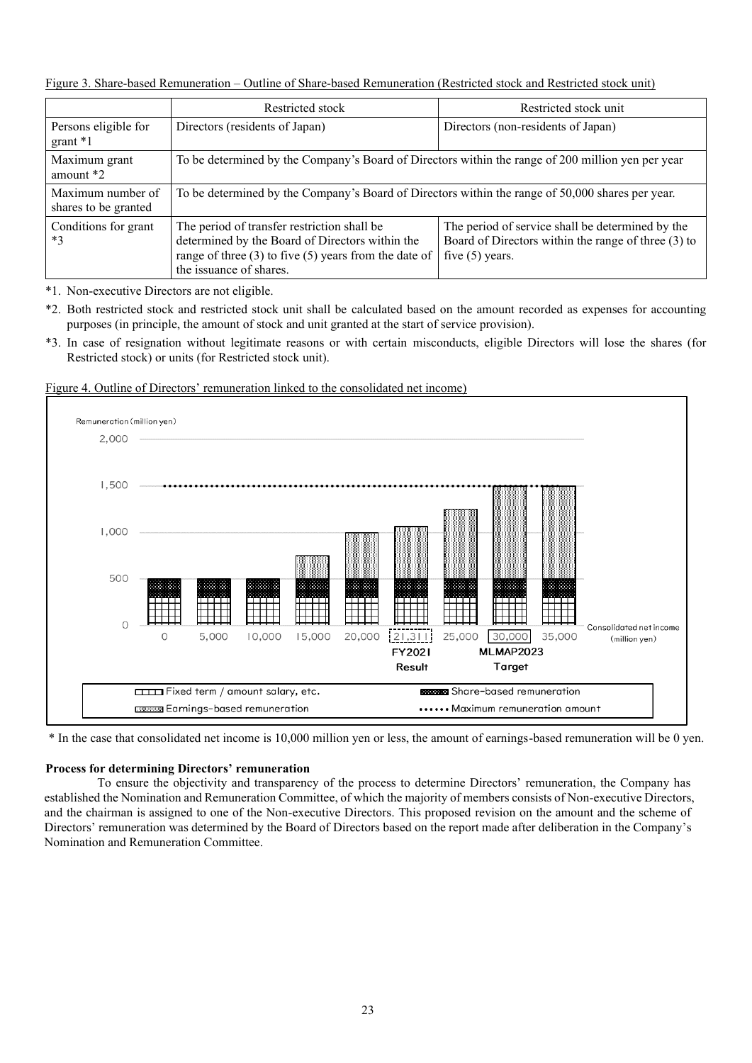Figure 3. Share-based Remuneration – Outline of Share-based Remuneration (Restricted stock and Restricted stock unit)

|                                           | Restricted stock                                                                                                                                                                       | Restricted stock unit                                                                                                        |  |  |
|-------------------------------------------|----------------------------------------------------------------------------------------------------------------------------------------------------------------------------------------|------------------------------------------------------------------------------------------------------------------------------|--|--|
| Persons eligible for<br>$grant *1$        | Directors (residents of Japan)                                                                                                                                                         | Directors (non-residents of Japan)                                                                                           |  |  |
| Maximum grant<br>amount $*2$              | To be determined by the Company's Board of Directors within the range of 200 million yen per year                                                                                      |                                                                                                                              |  |  |
| Maximum number of<br>shares to be granted | To be determined by the Company's Board of Directors within the range of 50,000 shares per year.                                                                                       |                                                                                                                              |  |  |
| Conditions for grant<br>$*3$              | The period of transfer restriction shall be<br>determined by the Board of Directors within the<br>range of three $(3)$ to five $(5)$ years from the date of<br>the issuance of shares. | The period of service shall be determined by the<br>Board of Directors within the range of three (3) to<br>five $(5)$ years. |  |  |

\*1. Non-executive Directors are not eligible.

\*2. Both restricted stock and restricted stock unit shall be calculated based on the amount recorded as expenses for accounting purposes (in principle, the amount of stock and unit granted at the start of service provision).

\*3. In case of resignation without legitimate reasons or with certain misconducts, eligible Directors will lose the shares (for Restricted stock) or units (for Restricted stock unit).



Figure 4. Outline of Directors' remuneration linked to the consolidated net income)

\* In the case that consolidated net income is 10,000 million yen or less, the amount of earnings-based remuneration will be 0 yen.

## **Process for determining Directors' remuneration**

To ensure the objectivity and transparency of the process to determine Directors' remuneration, the Company has established the Nomination and Remuneration Committee, of which the majority of members consists of Non-executive Directors, and the chairman is assigned to one of the Non-executive Directors. This proposed revision on the amount and the scheme of Directors' remuneration was determined by the Board of Directors based on the report made after deliberation in the Company's Nomination and Remuneration Committee.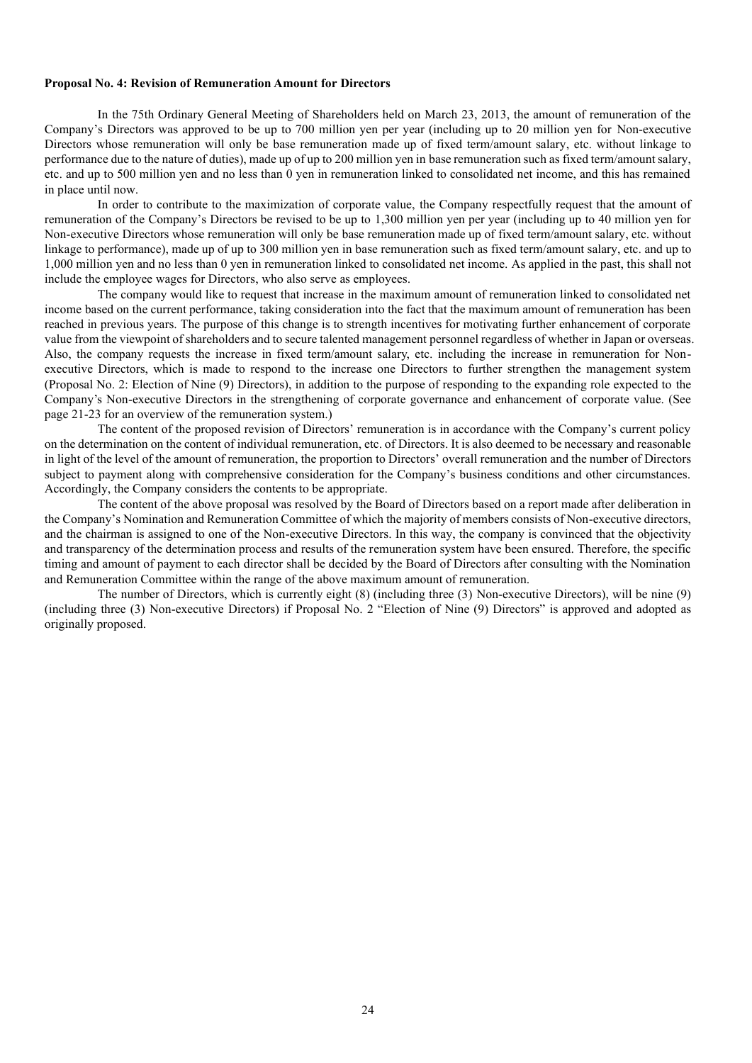#### **Proposal No. 4: Revision of Remuneration Amount for Directors**

In the 75th Ordinary General Meeting of Shareholders held on March 23, 2013, the amount of remuneration of the Company's Directors was approved to be up to 700 million yen per year (including up to 20 million yen for Non-executive Directors whose remuneration will only be base remuneration made up of fixed term/amount salary, etc. without linkage to performance due to the nature of duties), made up of up to 200 million yen in base remuneration such as fixed term/amount salary, etc. and up to 500 million yen and no less than 0 yen in remuneration linked to consolidated net income, and this has remained in place until now.

In order to contribute to the maximization of corporate value, the Company respectfully request that the amount of remuneration of the Company's Directors be revised to be up to 1,300 million yen per year (including up to 40 million yen for Non-executive Directors whose remuneration will only be base remuneration made up of fixed term/amount salary, etc. without linkage to performance), made up of up to 300 million yen in base remuneration such as fixed term/amount salary, etc. and up to 1,000 million yen and no less than 0 yen in remuneration linked to consolidated net income. As applied in the past, this shall not include the employee wages for Directors, who also serve as employees.

The company would like to request that increase in the maximum amount of remuneration linked to consolidated net income based on the current performance, taking consideration into the fact that the maximum amount of remuneration has been reached in previous years. The purpose of this change is to strength incentives for motivating further enhancement of corporate value from the viewpoint of shareholders and to secure talented management personnel regardless of whether in Japan or overseas. Also, the company requests the increase in fixed term/amount salary, etc. including the increase in remuneration for Nonexecutive Directors, which is made to respond to the increase one Directors to further strengthen the management system (Proposal No. 2: Election of Nine (9) Directors), in addition to the purpose of responding to the expanding role expected to the Company's Non-executive Directors in the strengthening of corporate governance and enhancement of corporate value. (See page 21-23 for an overview of the remuneration system.)

The content of the proposed revision of Directors' remuneration is in accordance with the Company's current policy on the determination on the content of individual remuneration, etc. of Directors. It is also deemed to be necessary and reasonable in light of the level of the amount of remuneration, the proportion to Directors' overall remuneration and the number of Directors subject to payment along with comprehensive consideration for the Company's business conditions and other circumstances. Accordingly, the Company considers the contents to be appropriate.

The content of the above proposal was resolved by the Board of Directors based on a report made after deliberation in the Company's Nomination and Remuneration Committee of which the majority of members consists of Non-executive directors, and the chairman is assigned to one of the Non-executive Directors. In this way, the company is convinced that the objectivity and transparency of the determination process and results of the remuneration system have been ensured. Therefore, the specific timing and amount of payment to each director shall be decided by the Board of Directors after consulting with the Nomination and Remuneration Committee within the range of the above maximum amount of remuneration.

The number of Directors, which is currently eight (8) (including three (3) Non-executive Directors), will be nine (9) (including three (3) Non-executive Directors) if Proposal No. 2 "Election of Nine (9) Directors" is approved and adopted as originally proposed.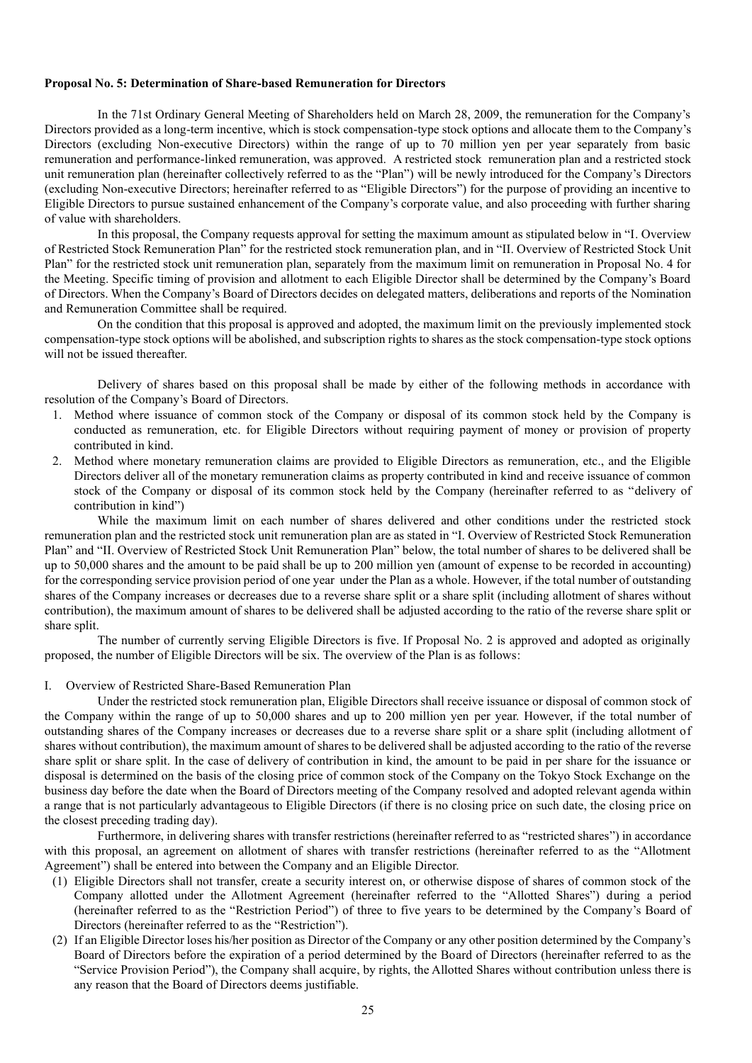#### **Proposal No. 5: Determination of Share-based Remuneration for Directors**

In the 71st Ordinary General Meeting of Shareholders held on March 28, 2009, the remuneration for the Company's Directors provided as a long-term incentive, which is stock compensation-type stock options and allocate them to the Company's Directors (excluding Non-executive Directors) within the range of up to 70 million yen per year separately from basic remuneration and performance-linked remuneration, was approved. A restricted stock remuneration plan and a restricted stock unit remuneration plan (hereinafter collectively referred to as the "Plan") will be newly introduced for the Company's Directors (excluding Non-executive Directors; hereinafter referred to as "Eligible Directors") for the purpose of providing an incentive to Eligible Directors to pursue sustained enhancement of the Company's corporate value, and also proceeding with further sharing of value with shareholders.

In this proposal, the Company requests approval for setting the maximum amount as stipulated below in "I. Overview of Restricted Stock Remuneration Plan" for the restricted stock remuneration plan, and in "II. Overview of Restricted Stock Unit Plan" for the restricted stock unit remuneration plan, separately from the maximum limit on remuneration in Proposal No. 4 for the Meeting. Specific timing of provision and allotment to each Eligible Director shall be determined by the Company's Board of Directors. When the Company's Board of Directors decides on delegated matters, deliberations and reports of the Nomination and Remuneration Committee shall be required.

On the condition that this proposal is approved and adopted, the maximum limit on the previously implemented stock compensation-type stock options will be abolished, and subscription rights to shares as the stock compensation-type stock options will not be issued thereafter.

Delivery of shares based on this proposal shall be made by either of the following methods in accordance with resolution of the Company's Board of Directors.

- 1. Method where issuance of common stock of the Company or disposal of its common stock held by the Company is conducted as remuneration, etc. for Eligible Directors without requiring payment of money or provision of property contributed in kind.
- 2. Method where monetary remuneration claims are provided to Eligible Directors as remuneration, etc., and the Eligible Directors deliver all of the monetary remuneration claims as property contributed in kind and receive issuance of common stock of the Company or disposal of its common stock held by the Company (hereinafter referred to as "delivery of contribution in kind")

While the maximum limit on each number of shares delivered and other conditions under the restricted stock remuneration plan and the restricted stock unit remuneration plan are as stated in "I. Overview of Restricted Stock Remuneration Plan" and "II. Overview of Restricted Stock Unit Remuneration Plan" below, the total number of shares to be delivered shall be up to 50,000 shares and the amount to be paid shall be up to 200 million yen (amount of expense to be recorded in accounting) for the corresponding service provision period of one year under the Plan as a whole. However, if the total number of outstanding shares of the Company increases or decreases due to a reverse share split or a share split (including allotment of shares without contribution), the maximum amount of shares to be delivered shall be adjusted according to the ratio of the reverse share split or share split.

The number of currently serving Eligible Directors is five. If Proposal No. 2 is approved and adopted as originally proposed, the number of Eligible Directors will be six. The overview of the Plan is as follows:

#### I. Overview of Restricted Share-Based Remuneration Plan

Under the restricted stock remuneration plan, Eligible Directors shall receive issuance or disposal of common stock of the Company within the range of up to 50,000 shares and up to 200 million yen per year. However, if the total number of outstanding shares of the Company increases or decreases due to a reverse share split or a share split (including allotment of shares without contribution), the maximum amount of shares to be delivered shall be adjusted according to the ratio of the reverse share split or share split. In the case of delivery of contribution in kind, the amount to be paid in per share for the issuance or disposal is determined on the basis of the closing price of common stock of the Company on the Tokyo Stock Exchange on the business day before the date when the Board of Directors meeting of the Company resolved and adopted relevant agenda within a range that is not particularly advantageous to Eligible Directors (if there is no closing price on such date, the closing price on the closest preceding trading day).

Furthermore, in delivering shares with transfer restrictions (hereinafter referred to as "restricted shares") in accordance with this proposal, an agreement on allotment of shares with transfer restrictions (hereinafter referred to as the "Allotment Agreement") shall be entered into between the Company and an Eligible Director.

- (1) Eligible Directors shall not transfer, create a security interest on, or otherwise dispose of shares of common stock of the Company allotted under the Allotment Agreement (hereinafter referred to the "Allotted Shares") during a period (hereinafter referred to as the "Restriction Period") of three to five years to be determined by the Company's Board of Directors (hereinafter referred to as the "Restriction").
- (2) If an Eligible Director loses his/her position as Director of the Company or any other position determined by the Company's Board of Directors before the expiration of a period determined by the Board of Directors (hereinafter referred to as the "Service Provision Period"), the Company shall acquire, by rights, the Allotted Shares without contribution unless there is any reason that the Board of Directors deems justifiable.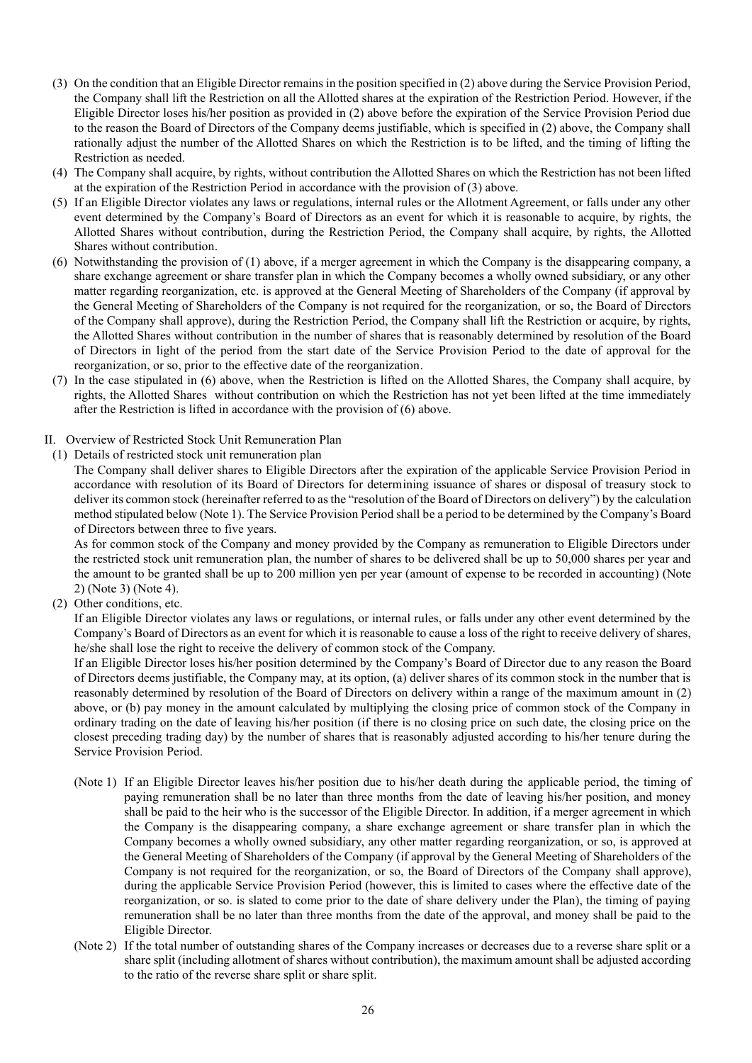- (3) On the condition that an Eligible Director remains in the position specified in (2) above during the Service Provision Period, the Company shall lift the Restriction on all the Allotted shares at the expiration of the Restriction Period. However, if the Eligible Director loses his/her position as provided in (2) above before the expiration of the Service Provision Period due to the reason the Board of Directors of the Company deems justifiable, which is specified in (2) above, the Company shall rationally adjust the number of the Allotted Shares on which the Restriction is to be lifted, and the timing of lifting the Restriction as needed.
- (4) The Company shall acquire, by rights, without contribution the Allotted Shares on which the Restriction has not been lifted at the expiration of the Restriction Period in accordance with the provision of (3) above.
- (5) If an Eligible Director violates any laws or regulations, internal rules or the Allotment Agreement, or falls under any other event determined by the Company's Board of Directors as an event for which it is reasonable to acquire, by rights, the Allotted Shares without contribution, during the Restriction Period, the Company shall acquire, by rights, the Allotted Shares without contribution.
- (6) Notwithstanding the provision of (1) above, if a merger agreement in which the Company is the disappearing company, a share exchange agreement or share transfer plan in which the Company becomes a wholly owned subsidiary, or any other matter regarding reorganization, etc. is approved at the General Meeting of Shareholders of the Company (if approval by the General Meeting of Shareholders of the Company is not required for the reorganization, or so, the Board of Directors of the Company shall approve), during the Restriction Period, the Company shall lift the Restriction or acquire, by rights, the Allotted Shares without contribution in the number of shares that is reasonably determined by resolution of the Board of Directors in light of the period from the start date of the Service Provision Period to the date of approval for the reorganization, or so, prior to the effective date of the reorganization.
- (7) In the case stipulated in (6) above, when the Restriction is lifted on the Allotted Shares, the Company shall acquire, by rights, the Allotted Shares without contribution on which the Restriction has not yet been lifted at the time immediately after the Restriction is lifted in accordance with the provision of (6) above.
- II. Overview of Restricted Stock Unit Remuneration Plan
- (1) Details of restricted stock unit remuneration plan

The Company shall deliver shares to Eligible Directors after the expiration of the applicable Service Provision Period in accordance with resolution of its Board of Directors for determining issuance of shares or disposal of treasury stock to deliver its common stock (hereinafter referred to as the "resolution of the Board of Directors on delivery") by the calculation method stipulated below (Note 1). The Service Provision Period shall be a period to be determined by the Company's Board of Directors between three to five years.

As for common stock of the Company and money provided by the Company as remuneration to Eligible Directors under the restricted stock unit remuneration plan, the number of shares to be delivered shall be up to 50,000 shares per year and the amount to be granted shall be up to 200 million yen per year (amount of expense to be recorded in accounting) (Note 2) (Note 3) (Note 4).

(2) Other conditions, etc.

If an Eligible Director violates any laws or regulations, or internal rules, or falls under any other event determined by the Company's Board of Directors as an event for which it is reasonable to cause a loss of the right to receive delivery of shares, he/she shall lose the right to receive the delivery of common stock of the Company.

If an Eligible Director loses his/her position determined by the Company's Board of Director due to any reason the Board of Directors deems justifiable, the Company may, at its option, (a) deliver shares of its common stock in the number that is reasonably determined by resolution of the Board of Directors on delivery within a range of the maximum amount in (2) above, or (b) pay money in the amount calculated by multiplying the closing price of common stock of the Company in ordinary trading on the date of leaving his/her position (if there is no closing price on such date, the closing price on the closest preceding trading day) by the number of shares that is reasonably adjusted according to his/her tenure during the Service Provision Period.

- (Note 1) If an Eligible Director leaves his/her position due to his/her death during the applicable period, the timing of paying remuneration shall be no later than three months from the date of leaving his/her position, and money shall be paid to the heir who is the successor of the Eligible Director. In addition, if a merger agreement in which the Company is the disappearing company, a share exchange agreement or share transfer plan in which the Company becomes a wholly owned subsidiary, any other matter regarding reorganization, or so, is approved at the General Meeting of Shareholders of the Company (if approval by the General Meeting of Shareholders of the Company is not required for the reorganization, or so, the Board of Directors of the Company shall approve), during the applicable Service Provision Period (however, this is limited to cases where the effective date of the reorganization, or so. is slated to come prior to the date of share delivery under the Plan), the timing of paying remuneration shall be no later than three months from the date of the approval, and money shall be paid to the Eligible Director.
- (Note 2) If the total number of outstanding shares of the Company increases or decreases due to a reverse share split or a share split (including allotment of shares without contribution), the maximum amount shall be adjusted according to the ratio of the reverse share split or share split.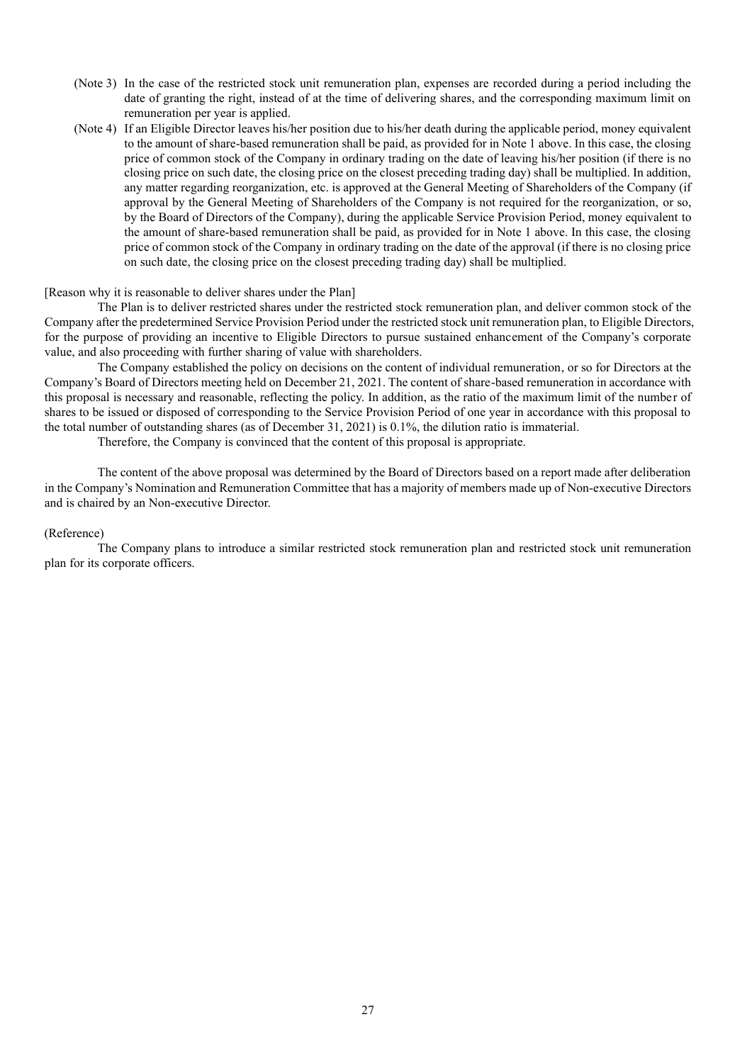- (Note 3) In the case of the restricted stock unit remuneration plan, expenses are recorded during a period including the date of granting the right, instead of at the time of delivering shares, and the corresponding maximum limit on remuneration per year is applied.
- (Note 4) If an Eligible Director leaves his/her position due to his/her death during the applicable period, money equivalent to the amount of share-based remuneration shall be paid, as provided for in Note 1 above. In this case, the closing price of common stock of the Company in ordinary trading on the date of leaving his/her position (if there is no closing price on such date, the closing price on the closest preceding trading day) shall be multiplied. In addition, any matter regarding reorganization, etc. is approved at the General Meeting of Shareholders of the Company (if approval by the General Meeting of Shareholders of the Company is not required for the reorganization, or so, by the Board of Directors of the Company), during the applicable Service Provision Period, money equivalent to the amount of share-based remuneration shall be paid, as provided for in Note 1 above. In this case, the closing price of common stock of the Company in ordinary trading on the date of the approval (if there is no closing price on such date, the closing price on the closest preceding trading day) shall be multiplied.

#### [Reason why it is reasonable to deliver shares under the Plan]

The Plan is to deliver restricted shares under the restricted stock remuneration plan, and deliver common stock of the Company after the predetermined Service Provision Period under the restricted stock unit remuneration plan, to Eligible Directors, for the purpose of providing an incentive to Eligible Directors to pursue sustained enhancement of the Company's corporate value, and also proceeding with further sharing of value with shareholders.

The Company established the policy on decisions on the content of individual remuneration, or so for Directors at the Company's Board of Directors meeting held on December 21, 2021. The content of share-based remuneration in accordance with this proposal is necessary and reasonable, reflecting the policy. In addition, as the ratio of the maximum limit of the number of shares to be issued or disposed of corresponding to the Service Provision Period of one year in accordance with this proposal to the total number of outstanding shares (as of December 31, 2021) is 0.1%, the dilution ratio is immaterial.

Therefore, the Company is convinced that the content of this proposal is appropriate.

The content of the above proposal was determined by the Board of Directors based on a report made after deliberation in the Company's Nomination and Remuneration Committee that has a majority of members made up of Non-executive Directors and is chaired by an Non-executive Director.

#### (Reference)

The Company plans to introduce a similar restricted stock remuneration plan and restricted stock unit remuneration plan for its corporate officers.